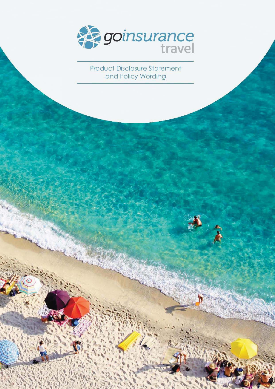

**Product Disclosure Statement** and Policy Wording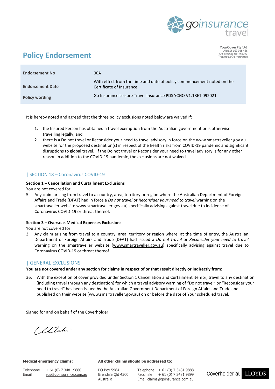

YourCover Pty Ltd ABN 35 169 038 466<br>AFS Licence No. 461299 Trading as Go Insurance

# **Policy Endorsement**

| <b>Endorsement No</b>   | 00A                                                                                                |
|-------------------------|----------------------------------------------------------------------------------------------------|
| <b>Endorsement Date</b> | With effect from the time and date of policy commencement noted on the<br>Certificate of Insurance |
| <b>Policy wording</b>   | Go Insurance Leisure Travel Insurance PDS YCGO V1.1RET 092021                                      |

It is hereby noted and agreed that the three policy exclusions noted below are waived if:

- 1. the Insured Person has obtained a travel exemption from the Australian government or is otherwise travelling legally; and
- 2. there is a Do not travel or Reconsider your need to travel advisory in force on th[e www.smartraveller.gov.au](http://www.smartraveller.gov.au/) website for the proposed destination(s) in respect of the health risks from COVID-19 pandemic and significant disruptions to global travel. If the Do not travel or Reconsider your need to travel advisory is for any other reason in addition to the COVID-19 pandemic, the exclusions are not waived.

### | SECTION 18 – Coronavirus COVID-19

### **Section 1 – Cancellation and Curtailment Exclusions**

You are not covered for:

5. Any claim arising from travel to a country, area, territory or region where the Australian Department of Foreign Affairs and Trade (DFAT) had in force a *Do not travel* or *Reconsider your need to travel* warning on the smartraveller websit[e www.smartraveller.gov.au\)](http://www.smartraveller.gov.au/) specifically advising against travel due to incidence of Coronavirus COVID-19 or threat thereof.

#### **Section 3 – Overseas Medical Expenses Exclusions**

You are not covered for:

3. Any claim arising from travel to a country, area, territory or region where, at the time of entry, the Australian Department of Foreign Affairs and Trade (DFAT) had issued a *Do not travel* or *Reconsider your need to travel* warning on the smartraveller website [\(www.smartraveller.gov.au\)](http://www.smartraveller.gov.au/) specifically advising against travel due to Coronavirus COVID-19 or threat thereof.

### | GENERAL EXCLUSIONS

**You are not covered under any section for claims in respect of or that result directly or indirectly from:**

36. With the exception of cover provided under Section 1 Cancellation and Curtailment item xi, travel to any destination (including travel through any destination) for which a travel advisory warning of "Do not travel" or "Reconsider your need to travel" has been issued by the Australian Government Department of Foreign Affairs and Trade and published on their website (www.smartraveller.gov.au) on or before the date of Your scheduled travel.

Signed for and on behalf of the Coverholder

/ Ulili

Telephone + 61 (0) 7 3481 9880 PO Box 5964 Telephone + 61 (0) 7 3481 9888

**Medical emergency claims: All other claims should be addressed to:**

Email [sos@goinsurance.com.au](mailto:sos@goinsurance.com.au) Brendale Qld 4500 Facsimile + 61 (0) 7 3481 9899 Australia Email claims@goinsurance.com.au

Coverholder at

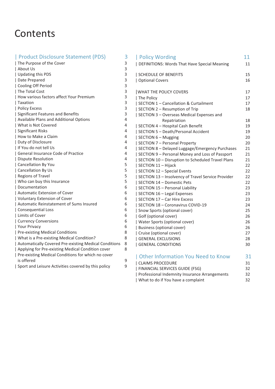# **Contents**

| Product Disclosure Statement (PDS)                    | 3 |
|-------------------------------------------------------|---|
| The Purpose of the Cover                              | 3 |
| About Us                                              | 3 |
| Updating this PDS                                     | 3 |
| Date Prepared                                         | 3 |
| Cooling Off Period                                    | 3 |
| The Total Cost                                        | 3 |
| How various factors affect Your Premium               | 3 |
| Taxation                                              | 3 |
| Policy Excess                                         | 3 |
| Significant Features and Benefits                     | 3 |
| Available Plans and Additional Options                | 4 |
| What is Not Covered                                   | 4 |
| Significant Risks                                     | 4 |
| How to Make a Claim                                   | 4 |
| Duty of Disclosure                                    | 4 |
| I If You do not tell Us                               | 4 |
| General Insurance Code of Practice                    | 4 |
| Dispute Resolution                                    | 4 |
| Cancellation By You                                   | 5 |
| Cancellation By Us                                    | 5 |
| Regions of Travel                                     | 5 |
| Who can buy this Insurance                            | 5 |
| Documentation                                         | 6 |
| Automatic Extension of Cover                          | 6 |
| Voluntary Extension of Cover                          | 6 |
| Automatic Reinstatement of Sums Insured               | 6 |
| Consequential Loss                                    | 6 |
| Limits of Cover                                       | 6 |
| Currency Conversions                                  | 6 |
| Your Privacy                                          | 6 |
| Pre-existing Medical Conditions                       | 8 |
| What is a Pre-existing Medical Condition?             | 8 |
| Automatically Covered Pre-existing Medical Conditions | 8 |
| Applying for Pre-existing Medical Condition cover     | 8 |
| Pre-existing Medical Conditions for which no cover    |   |
| is offered                                            | 9 |
| Sport and Leisure Activities covered by this policy   | 9 |
|                                                       |   |

### | Policy Wording 11 | DEFINITIONS: Words That Have Special Meaning 11 | SCHEDULE OF BENEFITS 15 | Optional Covers 16 | WHAT THE POLICY COVERS | 17 | The Policy 27 | SECTION 1 – Cancellation & Curtailment 17 | SECTION 2 – Resumption of Trip 18 | SECTION 3 – Overseas Medical Expenses and Repatriation 18 | SECTION 4 – Hospital Cash Benefit 19 | SECTION 5 – Death/Personal Accident 19 | SECTION 6 – Mugging 20 | SECTION 7 – Personal Property 20 | SECTION 8 – Delayed Luggage/Emergency Purchases 21 | SECTION 9 – Personal Money and Loss of Passport 21 | SECTION 10 – Disruption to Scheduled Travel Plans 21 | SECTION 11 – Hijack 22 | SECTION 12 – Special Events 22 | SECTION 13 – Insolvency of Travel Service Provider 22 | SECTION 14 – Domestic Pets 22 | SECTION 15 – Personal Liability 23 | SECTION 16 – Legal Expenses 23 | SECTION 17 – Car Hire Excess 23 | SECTION 18 – Coronavirus COVID-19 24 | Snow Sports (optional cover) 25 | Golf (optional cover) 26 | Water Sports (optional cover) 26 | Business (optional cover) 26 | Cruise (optional cover) 27 | GENERAL EXCLUSIONS 28 | GENERAL CONDITIONS 30

| Other Information You Need to Know            | 31  |
|-----------------------------------------------|-----|
| CLAIMS PROCEDURE                              | 31  |
| FINANCIAL SERVICES GUIDE (FSG)                | 32. |
| Professional Indemnity Insurance Arrangements | 32. |
| What to do if You have a complaint            | 32. |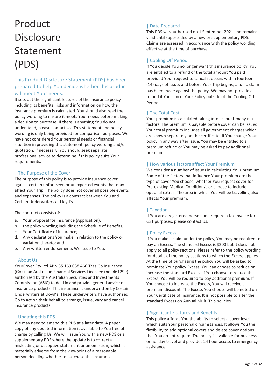# Product **Disclosure** Statement (PDS)

### This Product Disclosure Statement (PDS) has been prepared to help You decide whether this product will meet Your needs.

It sets out the significant features of the insurance policy including its benefits, risks and information on how the insurance premium is calculated. You should also read the policy wording to ensure it meets Your needs before making a decision to purchase. If there is anything You do not understand, please contact Us. This statement and policy wording is only being provided for comparison purposes. We have not considered Your personal needs or financial situation in providing this statement, policy wording and/or quotation. If necessary, You should seek separate professional advice to determine if this policy suits Your requirements.

### | The Purpose of the Cover

The purpose of this policy is to provide insurance cover against certain unforeseen or unexpected events that may affect Your Trip. The policy does not cover all possible events and expenses. The policy is a contract between You and Certain Underwriters at Lloyd's.

The contract consists of:

- a. Your proposal for insurance (Application);
- b. the policy wording including the Schedule of Benefits;
- c. Your Certificate of Insurance;
- d. Any declarations You make in relation to the policy or variation thereto; and
- e. Any written endorsements We issue to You.

### | About Us

YourCover Pty Ltd ABN 35 169 038 466 T/as Go Insurance (Go) is an Australian Financial Services Licensee (no. 461299) authorised by the Australian Securities and Investments Commission (ASIC) to deal in and provide general advice on insurance products. This insurance is underwritten by Certain Underwriters at Lloyd's. These underwriters have authorised Go to act on their behalf to arrange, issue, vary and cancel insurance products.

### | Updating this PDS

We may need to amend this PDS at a later date. A paper copy of any updated information is available to You free of charge by calling Us. We will issue You with a new PDS or a supplementary PDS where the update is to correct a misleading or deceptive statement or an omission, which is materially adverse from the viewpoint of a reasonable person deciding whether to purchase this insurance.

### | Date Prepared

This PDS was authorised on 1 September 2021 and remains valid until superseded by a new or supplementary PDS. Claims are assessed in accordance with the policy wording effective at the time of purchase.

### | Cooling Off Period

If You decide You no longer want this insurance policy, You are entitled to a refund of the total amount You paid provided Your request to cancel it occurs within fourteen (14) days of issue; and before Your Trip begins; and no claim has been made against the policy. We may not provide a refund if You cancel Your Policy outside of the Cooling Off Period.

### | The Total Cost

Your premium is calculated taking into account many risk factors. The premium is payable before cover can be issued. Your total premium includes all government charges which are shown separately on the certificate. If You change Your policy in any way after issue, You may be entitled to a premium refund or You may be asked to pay additional premium.

### | How various factors affect Your Premium

We consider a number of issues in calculating Your premium. Some of the factors that influence Your premium are the type of cover You choose, whether You request cover for Pre-existing Medical Condition/s or choose to include optional extras. The area in which You will be travelling also affects Your premium.

### | Taxation

If You are a registered person and require a tax invoice for GST purposes, please contact Us.

### | Policy Excess

If You make a claim under the policy, You may be required to pay an Excess. The standard Excess is \$200 but it does not apply to all policy sections. Please refer to the policy wording for details of the policy sections to which the Excess applies. At the time of purchasing the policy You will be asked to nominate Your policy Excess. You can choose to reduce or increase the standard Excess. If You choose to reduce the Excess, You will be required to pay additional premium. If You choose to increase the Excess, You will receive a premium discount. The Excess You choose will be noted on Your Certificate of Insurance. It is not possible to alter the standard Excess on Annual Multi Trip policies.

### | Significant Features and Benefits

This policy affords You the ability to select a cover level which suits Your personal circumstances. It allows You the flexibility to add optional covers and delete cover options that You do not require. The policy is available for business or holiday travel and provides 24 hour access to emergency assistance.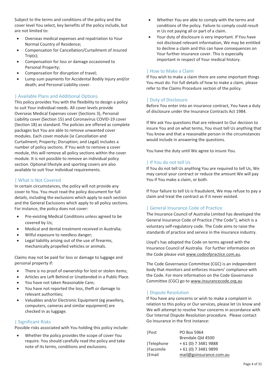Subject to the terms and conditions of the policy and the cover level You select, key benefits of the policy include, but are not limited to:

- - Overseas medical expenses and repatriation to Your Normal Country of Residence;
- - Compensation for Cancellation/Curtailment of insured Trip(s);
- - Compensation for loss or damage occasioned to Personal Property;
- -Compensation for disruption of travel;
- - Lump sum payments for Accidental Bodily Injury and/or death; and Personal Liability cover.

### | Available Plans and Additional Options

This policy provides You with the flexibility to design a policy to suit Your individual needs. All cover levels provide Overseas Medical Expenses cover (Sections 3), Personal Liability cover (Section 15) and Coronavirus COVID-19 cover (Section 18) as standard. The policies are offered as complete packages but You are able to remove unwanted cover modules. Each cover module (ie Cancellation and Curtailment; Property; Disruption; and Legal) includes a number of policy sections. If You wish to remove a cover module, this will remove all policy sections within the cover module. It is not possible to remove an individual policy section. Optional lifestyle and sporting covers are also available to suit Your individual requirements.

### | What is Not Covered

In certain circumstances, the policy will not provide any cover to You. You must read the policy document for full details, including the exclusions which apply to each section and the General Exclusions which apply to all policy sections. For instance, the policy does not cover:

- - Pre-existing Medical Conditions unless agreed to be covered by Us;
- -Medical and dental treatment received in Australia;
- -Wilful exposure to needless danger;
- $\bullet$  Legal liability arising out of the use of firearms, mechanically propelled vehicles or animals.

Claims may not be paid for loss or damage to luggage and personal property if:

- -There is no proof of ownership for lost or stolen items;
- -Articles are Left Behind or Unattended in a Public Place.
- -You have not taken Reasonable Care;
- - You have not reported the loss, theft or damage to relevant authorities;
- $\bullet$  Valuables and/or Electronic Equipment (eg jewellery, computers, cameras and similar equipment) are checked in as luggage.

### | Significant Risks

Possible risks associated with You holding this policy include:

- Whether the policy provides the scope of cover You require. You should carefully read the policy and take note of its terms, conditions and exclusions.

- - Whether You are able to comply with the terms and conditions of the policy. Failure to comply could result in Us not paying all or part of a claim.
- $\bullet$  Your duty of disclosure is very important. If You have not disclosed relevant information, We may be entitled to decline a claim and this can have consequences on Your further insurance cover. This is especially important in respect of Your medical history.

### | How to Make a Claim

If You wish to make a claim there are some important things You must do. For full details of how to make a claim, please refer to the Claims Procedure section of the policy.

### | Duty of Disclosure

Before You enter into an insurance contract, You have a duty of disclosure under the Insurance Contracts Act 1984.

If We ask You questions that are relevant to Our decision to insure You and on what terms, You must tell Us anything that You know and that a reasonable person in the circumstances would include in answering the questions.

You have the duty until We agree to insure You.

### | If You do not tell Us

If You do not tell Us anything You are required to tell Us, We may cancel your contract or reduce the amount We will pay You if You make a claim, or both.

If Your failure to tell Us is fraudulent, We may refuse to pay a claim and treat the contract as if it never existed.

### | General Insurance Code of Practice

The Insurance Council of Australia Limited has developed the General Insurance Code of Practice ("the Code"), which is a voluntary self-regulatory code. The Code aims to raise the standards of practice and service in the insurance industry.

Lloyd's has adopted the Code on terms agreed with the Insurance Council of Australia. For further information on the Code please visit www.codeofpractice.com.au.

The Code Governance Committee (CGC) is an independent body that monitors and enforces insurers' compliance with the Code. For more information on the Code Governance Committee (CGC) go to www.insurancecode.org.au

### | Dispute Resolution

If You have any concerns or wish to make a complaint in relation to this policy or Our services, please let Us know and We will attempt to resolve Your concerns in accordance with Our Internal Dispute Resolution procedure. Please contact Go Insurance in the first instance:

| Post      | PO Box 5964             |
|-----------|-------------------------|
|           | Brendale Old 4500       |
| Telephone | + 61 (0) 7 3481 9888    |
| Facsimile | + 61 (0) 7 3481 9899    |
| Email     | mail@goinsurance.com.au |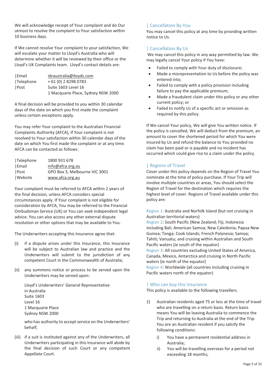We will acknowledge receipt of Your complaint and do Our utmost to resolve the complaint to Your satisfaction within 10 business days.

If We cannot resolve Your complaint to your satisfaction, We will escalate your matter to Lloyd's Australia who will determine whether it will be reviewed by their office or the Lloyd's UK Complaints team. Lloyd's contact details are:

| Email     | idraustralia@lloyds.com            |
|-----------|------------------------------------|
| Telephone | $+61(0)$ 2 8298 0783               |
| Post      | Suite 1603 Level 16                |
|           | 1 Macquarie Place, Sydney NSW 2000 |

A final decision will be provided to you within 30 calendar days of the date on which you first made the complaint unless certain exceptions apply.

You may refer Your complaint to the Australian Financial Complaints Authority (AFCA), if Your complaint is not resolved to Your satisfaction within 30 calendar days of the date on which You first made the complaint or at any time. AFCA can be contacted as follows:

| Telephone | 1800 931 678                  |
|-----------|-------------------------------|
| Email     | info@afca.org.au              |
| Post      | GPO Box 3, Melbourne VIC 3001 |
| Website   | www.afca.org.au               |

Your complaint must be referred to AFCA within 2 years of the final decision, unless AFCA considers special circumstances apply. If Your complaint is not eligible for consideration by AFCA, You may be referred to the Financial Ombudsman Service (UK) or You can seek independent legal advice. You can also access any other external dispute resolution or other options that may be available to You.

The Underwriters accepting this Insurance agree that:

- (i) if a dispute arises under this Insurance, this Insurance will be subject to Australian law and practice and the Underwriters will submit to the jurisdiction of any competent Court in the Commonwealth of Australia;
- (ii) any summons notice or process to be served upon the Underwriters may be served upon:

Lloyd's Underwriters' General Representative in Australia Suite 1603 Level 16 1 Macquarie Place Sydney NSW 2000

who has authority to accept service on the Underwriters' behalf;

(iii) if a suit is instituted against any of the Underwriters, all Underwriters participating in this Insurance will abide by the final decision of such Court or any competent Appellate Court.

### | Cancellation By You

You may cancel this policy at any time by providing written notice to Us.

### | Cancellation By Us

We may cancel this policy in any way permitted by law. We may legally cancel Your policy if You have:

- -Failed to comply with Your duty of disclosure;
- - Made a misrepresentation to Us before the policy was entered into;
- - Failed to comply with a policy provision including failure to pay the applicable premium;
- - Made a fraudulent claim under this policy or any other current policy; or
- - Failed to notify Us of a specific act or omission as required by this policy.

If We cancel Your policy, We will give You written notice. If the policy is cancelled, We will deduct from the premium, an amount to cover the shortened period for which You were insured by Us and refund the balance to You provided no claim has been paid or is payable and no incident has occurred which could give rise to a claim under the policy.

### | Regions of Travel

Cover under this policy depends on the Region of Travel You nominate at the time of policy purchase. If Your Trip will involve multiple countries or areas, You should select the Region of Travel for the destination which requires the highest level of cover. Regions of Travel available under this policy are:

Region 1: Australia and Norfolk Island (but not cruising in Australian territorial waters)

Region 2: South Pacific (New Zealand; Fiji, Indonesia including Bali; American Samoa; New Caledonia; Papua New Guinea; Tonga; Cook Islands; French Polynesia; Samoa; Tahiti; Vanuatu; and cruising within Australian and South Pacific waters (ie south of the equator) Region 3: All countries excluding United States of America, Canada, Mexico, Antarctica and cruising in North Pacific waters (ie north of the equator) Region 4: Worldwide (all countries including cruising in Pacific waters north of the equator)

### | Who can buy this Insurance

This policy is available to the following travellers.

- 1) Australian residents aged 75 or less at the time of travel who are travelling on a return basis. Return basis means You will be leaving Australia to commence the Trip and returning to Australia at the end of the Trip. You are an Australian resident if you satisfy the following conditions:
	- i) You have a permanent residential address in Australia;
	- ii) You will be travelling overseas for a period not exceeding 18 months;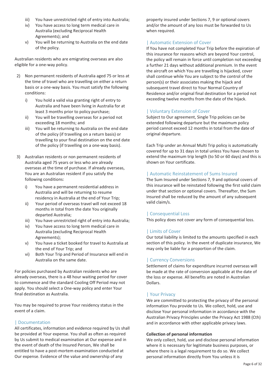- iii) You have unrestricted right of entry into Australia;
- iv) You have access to long term medical care in Australia (excluding Reciprocal Health Agreements); and
- v) You will be returning to Australia on the end date of the policy.

Australian residents who are emigrating overseas are also eligible for a one-way policy.

- 2) Non permanent residents of Australia aged 75 or less at the time of travel who are travelling on either a return basis or a one-way basis. You must satisfy the following conditions:
	- i) You hold a valid visa granting right of entry to Australia and have been living in Australia for at least 3 months prior to policy purchase;
	- ii) You will be travelling overseas for a period not exceeding 18 months; and
	- iii) You will be returning to Australia on the end date of the policy (if travelling on a return basis) or travelling to your final destination on the end date of the policy (if travelling on a one-way basis).
- 3) Australian residents or non permanent residents of Australia aged 75 years or less who are already overseas at the time of purchase. If already overseas, You are an Australian resident if you satisfy the following conditions:
	- i) You have a permanent residential address in Australia and will be returning to resume residency in Australia at the end of Your Trip;
	- ii) Your period of overseas travel will not exceed 18 months in total from the date You originally departed Australia;
	- iii) You have unrestricted right of entry into Australia:
	- iv) You have access to long term medical care in Australia (excluding Reciprocal Health Agreements);
	- v) You have a ticket booked for travel to Australia at the end of Your Trip; and
	- vi) Both Your Trip and Period of Insurance will end in Australia on the same date.

For policies purchased by Australian residents who are already overseas, there is a 48 hour waiting period for cover to commence and the standard Cooling Off Period may not apply. You should select a One-way policy and enter Your final destination as Australia.

You may be required to prove Your residency status in the event of a claim.

### | Documentation

All certificates, information and evidence required by Us shall be provided at Your expense. You shall as often as required by Us submit to medical examination at Our expense and in the event of death of the Insured Person, We shall be entitled to have a post-mortem examination conducted at Our expense. Evidence of the value and ownership of any

property insured under Sections 7, 9 or optional covers and/or the amount of any loss must be forwarded to Us when required.

### | Automatic Extension of Cover

If You have not completed Your Trip before the expiration of this insurance for reasons which are beyond Your control, the policy will remain in force until completion not exceeding a further 21 days without additional premium. In the event the aircraft on which You are travelling is hijacked, cover shall continue while You are subject to the control of the person(s) or their associates making the hijack and subsequent travel direct to Your Normal Country of Residence and/or original final destination for a period not exceeding twelve months from the date of the hijack.

### | Voluntary Extension of Cover

Subject to Our agreement, Single Trip policies can be extended following departure but the maximum policy period cannot exceed 12 months in total from the date of original departure.

Each Trip under an Annual Multi Trip policy is automatically covered for up to 31 days in total unless You have chosen to extend the maximum trip length (to 50 or 60 days) and this is shown on Your certificate.

### | Automatic Reinstatement of Sums Insured

The Sum Insured under Sections 7, 9 and optional covers of this insurance will be reinstated following the first valid claim under that section or optional covers. Thereafter, the Sum Insured shall be reduced by the amount of any subsequent valid claim/s.

### | Consequential Loss

This policy does not cover any form of consequential loss.

### | Limits of Cover

Our total liability is limited to the amounts specified in each section of this policy. In the event of duplicate insurance, We may only be liable for a proportion of the claim.

### | Currency Conversions

Settlement of claims for expenditure incurred overseas will be made at the rate of conversion applicable at the date of the loss or expense. All benefits are noted in Australian Dollars.

### | Your Privacy

We are committed to protecting the privacy of the personal information You provide to Us. We collect, hold, use and disclose Your personal information in accordance with the Australian Privacy Principles under the Privacy Act 1988 (Cth) and in accordance with other applicable privacy laws.

### **Collection of personal information**

We only collect, hold, use and disclose personal information where it is necessary for legitimate business purposes, or where there is a legal requirement to do so. We collect personal information directly from You unless it is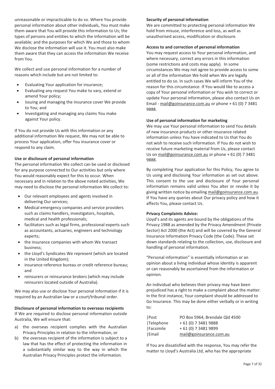unreasonable or impracticable to do so. Where You provide personal information about other individuals, You must make them aware that You will provide this information to Us; the types of persons and entities to which the information will be available; and the purposes for which We and those to whom We disclose the information will use it. You must also make them aware that they can access the information We receive from You.

We collect and use personal information for a number of reasons which include but are not limited to:

- -Evaluating Your application for insurance;
- - Evaluating any request You make to vary, extend or amend Your policy;
- - Issuing and managing the insurance cover We provide to You; and
- - Investigating and managing any claims You make against Your policy.

If You do not provide Us with this information or any additional information We request, We may not be able to process Your application, offer You insurance cover or respond to any claim.

### **Use or disclosure of personal information**

The personal information We collect can be used or disclosed for any purpose connected to Our activities but only where You would reasonably expect for this to occur. When necessary and in relation to the above noted activities, We may need to disclose the personal information We collect to:

- - Our relevant employees and agents involved in delivering Our services;
- Medical emergency companies and service providers such as claims handlers, investigators, hospitals, medical and health professionals;
- facilitators such as legal firms, professional experts such as accountants, actuaries, engineers and technology experts;
- the insurance companies with whom We transact business;
- the Lloyd's Syndicates We represent (which are located in the United Kingdom);
- insurance reference bureau or credit reference bureau; and
- reinsurers or reinsurance brokers (which may include reinsurers located outside of Australia).

We may also use or disclose Your personal information if it is required by an Australian law or a court/tribunal order.

### **Disclosure of personal information to overseas recipients**  If We are required to disclose personal information outside Australia, We will ensure that:

- a) the overseas recipient complies with the Australian Privacy Principles in relation to the information, or
- b) the overseas recipient of the information is subject to a law that has the effect of protecting the information in a substantially similar way to the way in which the Australian Privacy Principles protect the information.

### **Security of personal information**

We are committed to protecting personal information We hold from misuse, interference and loss, as well as unauthorised access, modification or disclosure.

### **Access to and correction of personal information**

You may request access to Your personal information, and where necessary, correct any errors in this information (some restrictions and costs may apply). In some circumstances We may not agree to provide access to some or all of the information We hold when We are legally entitled to do so. In such cases We will inform You of the reason for this circumstance. If You would like to access a copy of Your personal information or You wish to correct or update Your personal information, please also contact Us on Email - mail@goinsurance.com.au or phone + 61 (0) 7 3481 9888.

### **Use of personal information for marketing**

We may use Your personal information to send You details of new insurance products or other insurance related information unless You have indicated to Us that You do not wish to receive such information. If You do not wish to receive future marketing material from Us, please contact Us on mail@goinsurance.com.au or phone + 61 (0) 7 3481 9888.

By completing Your application for this Policy, You agree to Us using and disclosing Your information as set out above. This consent to the use and disclosure of Your personal information remains valid unless You alter or revoke it by giving written notice by emailing mail@goinsurance.com.au. If You have any queries about Our privacy policy and how it affects You, please contact Us.

### **Privacy Complaints Advice:**

Lloyd's and its agents are bound by the obligations of the Privacy 1988 as amended by the Privacy Amendment (Private Sector) Act 2000 (the Act) and will be covered by the General Insurance Information Privacy Code (the Code). These set down standards relating to the collection, use, disclosure and handling of personal information.

"Personal information" is essentially information or an opinion about a living individual whose identity is apparent or can reasonably be ascertained from the information or opinion.

An individual who believes their privacy may have been prejudiced has a right to make a complaint about the matter. In the first instance, Your complaint should be addressed to Go Insurance. This may be done either verbally or in writing to:

| Post             | PO Box 5964, Brendale Qld 4500 |
|------------------|--------------------------------|
| <b>Telephone</b> | + 61 (0) 7 3481 9888           |
| Facsimile        | + 61 (0) 7 3481 9899           |
| Email            | mail@goinsurance.com.au        |

If You are dissatisfied with the response, You may refer the matter to Lloyd's Australia Ltd, who has the appropriate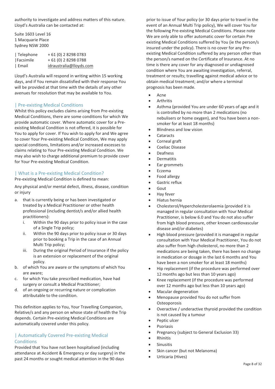authority to investigate and address matters of this nature. Lloyd's Australia can be contacted at:

Suite 1603 Level 16 1 Macquarie Place Sydney NSW 2000

| Telephone | +61 (0) 282980783       |
|-----------|-------------------------|
| Facsimile | + 61 (0) 2 8298 0788    |
| Email     | idraustralia@lloyds.com |

Lloyd's Australia will respond in writing within 15 working days, and if You remain dissatisfied with their response You will be provided at that time with the details of any other avenues for resolution that may be available to You.

### | Pre-existing Medical Conditions

Whilst this policy excludes claims arising from Pre-existing Medical Conditions, there are some conditions for which We provide automatic cover. Where automatic cover for a Preexisting Medical Condition is not offered, it is possible for You to apply for cover. If You wish to apply for and We agree to cover Your Pre-existing Medical Condition, We may apply special conditions, limitations and/or increased excesses to claims relating to Your Pre-existing Medical Condition. We may also wish to charge additional premium to provide cover for Your Pre-existing Medical Condition.

### | What is a Pre-existing Medical Condition?

Pre-existing Medical Condition is defined to mean:

Any physical and/or mental defect, illness, disease, condition or injury

- a. that is currently being or has been investigated or treated by a Medical Practitioner or other health professional (including dentist/s and/or allied health practitioners):
	- i. Within the 90 days prior to policy issue in the case of a Single Trip policy;
	- ii. Within the 90 days prior to policy issue or 30 days prior to booking a Trip in the case of an Annual Multi Trip policy;
	- iii. During the original Period of Insurance if the policy is an extension or replacement of the original policy.
- b. of which You are aware or the symptoms of which You are aware;
- c. for which You take prescribed medication, have had surgery or consult a Medical Practitioner;
- d. of an ongoing or recurring nature or complication attributable to the condition.

This definition applies to You, Your Travelling Companion, Relative/s and any person on whose state of health the Trip depends. Certain Pre-existing Medical Conditions are automatically covered under this policy.

### | Automatically Covered Pre-existing Medical **Conditions**

Provided that You have not been hospitalised (including attendance at Accident & Emergency or day surgery) in the past 24 months or sought medical attention in the 90 days

prior to issue of Your policy (or 30 days prior to travel in the event of an Annual Multi Trip policy), We will cover You for the following Pre-existing Medical Conditions. Please note We are only able to offer automatic cover for certain Pre existing Medical Conditions suffered by You (ie the person/s insured under the policy). There is no cover for any Preexisting Medical Condition suffered by any person other than the person/s named on the Certificate of Insurance. At no time is there any cover for any diagnosed or undiagnosed condition where You are awaiting investigation, referral, treatment or results; travelling against medical advice or to obtain medical treatment; and/or where a terminal prognosis has been made.

- $\bullet$ Acne
- -Arthritis
- $\bullet$  Asthma (provided You are under 60 years of age and it is controlled by no more than 2 medications (no nebulisers or home oxygen), and You have been a nonsmoker for at least 18 months)
- -Blindness and low vision
- -**Cataracts**
- -Corneal graft
- -Coeliac Disease
- -Deafness
- -Dermatitis
- -Ear grommets
- -Eczema
- -Food allergy
- -Gastric reflux
- -Gout
- -Hay fever
- -Hiatus hernia
- - Cholesterol/Hypercholesterolaemia (provided it is managed in regular consultation with Your Medical Practitioner, is below 6.0 and You do not also suffer from high blood pressure, other known cardiovascular disease and/or diabetes)
- $\bullet$  High blood pressure (provided it is managed in regular consultation with Your Medical Practitioner, You do not also suffer from high cholesterol, no more than 2 medications are being taken, there has been no change in medication or dosage in the last 6 months and You have been a non smoker for at least 18 months)
- - Hip replacement (if the procedure was performed over 12 months ago but less than 10 years ago)
- $\bullet$  Knee replacement (if the procedure was performed over 12 months ago but less than 10 years ago)
- -Macular degeneration
- - Menopause provided You do not suffer from **Osteoporosis**
- - Overactive / underactive thyroid provided the condition is not caused by a tumour
- -Peptic ulcer
- -Psoriasis
- -Pregnancy (subject to General Exclusion 33)
- -Rhinitis
- -Sinusitis
- -Skin cancer (but not Melanoma)
- -Urticaria (Hives)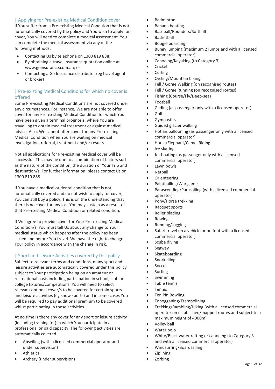### | Applying for Pre-existing Medical Condition cover

If You suffer from a Pre-existing Medical Condition that is not automatically covered by the policy and You wish to apply for cover, You will need to complete a medical assessment. You can complete the medical assessment via any of the following methods:

- -Contacting Us by telephone on 1300 819 888;
- - By obtaining a travel insurance quotation online at www.goinsurance.com.au; or
- - Contacting a Go Insurance distributor (eg travel agent or broker)

### | Pre-existing Medical Conditions for which no cover is offered

Some Pre-existing Medical Conditions are not covered under any circumstances. For instance, We are not able to offer cover for any Pre-existing Medical Condition for which You have been given a terminal prognosis, where You are travelling to obtain medical treatment or against medical advice. Also, We cannot offer cover for any Pre-existing Medical Condition when You are waiting on medical investigation, referral, treatment and/or results.

Not all applications for Pre-existing Medical cover will be successful. This may be due to a combination of factors such as the nature of the condition, the duration of Your Trip and destination/s. For further information, please contact Us on 1300 819 888.

If You have a medical or dental condition that is not automatically covered and do not wish to apply for cover, You can still buy a policy. This is on the understanding that there is no cover for any loss You may sustain as a result of that Pre-existing Medical Condition or related condition.

If We agree to provide cover for Your Pre-existing Medical Condition/s, You must tell Us about any change to Your medical status which happens after the policy has been issued and before You travel. We have the right to change Your policy in accordance with the change in risk.

### | Sport and Leisure Activities covered by this policy

Subject to relevant terms and conditions, many sport and leisure activities are automatically covered under this policy subject to Your participation being on an amateur or recreational basis including participation in school, club or college fixtures/competitions. You will need to select relevant optional cover/s to be covered for certain sports and leisure activities (eg snow sports) and in some cases You will be required to pay additional premium to be covered whilst participating in these activities.

At no time is there any cover for any sport or leisure activity (including training for) in which You participate in a professional or paid capacity. The following activities are automatically covered.

- $\bullet$  Abseiling (with a licensed commercial operator and under supervision)
- -Athletics
- -Archery (under supervision)
- $\bullet$ Badminton
- -Banana boating
- $\bullet$ Baseball/Rounders/Softball
- $\bullet$ Basketball
- -Boogie boarding
- $\bullet$  Bungy jumping (maximum 2 jumps and with a licensed commercial operator)
- -Canoeing/Kayaking (to Category 3)
- -Cricket
- -Curling
- -Cycling/Mountain biking
- $\bullet$ Fell / Gorge Walking (on recognised routes)
- $\bullet$ Fell / Gorge Running (on recognised routes)
- $\bullet$ Fishing (Course/Fly/Deep-sea)
- $\bullet$ Football
- $\bullet$ Gliding (as passenger only with a licensed operator)
- $\bullet$ Golf
- $\bullet$ Gymnastics
- $\bullet$ Guided glacier walking
- - Hot air ballooning (as passenger only with a licensed commercial operator)
- $\bullet$ Horse/Elephant/Camel Riding
- -Ice skating
- - Jet boating (as passenger only with a licensed commercial operator)
- -Lawn bowls
- -Netball
- $\bullet$ Orienteering
- $\bullet$ Paintballing/War games
- - Parascending/Parasailing (with a licensed commercial operator)
- $\bullet$ Pony/Horse trekking
- $\bullet$ Racquet sports
- $\bullet$ Roller blading
- $\bullet$ Rowing
- -Running/Jogging
- $\bullet$  Safari travel (in a vehicle or on foot with a licensed commercial operator)
- $\bullet$ Scuba diving
- -Segway
- -Skateboarding
- $\bullet$ Snorkelling
- $\bullet$ Soccer
- -Surfing
- -Swimming
- -Table tennis
- -Tennis
- $\bullet$ Ten Pin Bowling
- $\bullet$ Tobogganing/Trampolining
- $\bullet$  Trekking/Rambling/Hiking (with a licensed commercial operator on established/mapped routes and subject to a maximum height of 4000m)
- -Volley ball
- $\bullet$ Water polo
- - White/Black water rafting or canoeing (to Category 3 and with a licensed commercial operator)
- -Windsurfing/Boardsailing
- -Ziplining
- -Zorbing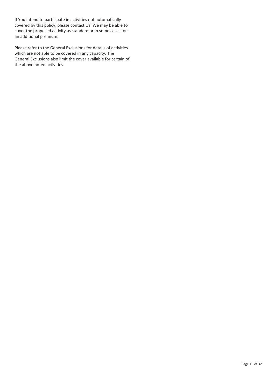If You intend to participate in activities not automatically covered by this policy, please contact Us. We may be able to cover the proposed activity as standard or in some cases for an additional premium.

Please refer to the General Exclusions for details of activities which are not able to be covered in any capacity. The General Exclusions also limit the cover available for certain of the above noted activities.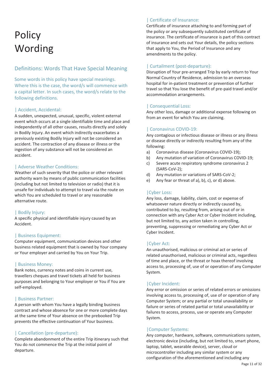# **Policy** Wording

### Definitions: Words That Have Special Meaning

Some words in this policy have special meanings. Where this is the case, the word/s will commence with a capital letter. In such cases, the word/s relate to the following definitions.

### | Accident, Accidental:

A sudden, unexpected, unusual, specific, violent external event which occurs at a single identifiable time and place and independently of all other causes, results directly and solely in Bodily Injury. An event which indirectly exacerbates a previously existing Bodily Injury will not be considered an accident. The contraction of any disease or illness or the ingestion of any substance will not be considered an accident.

### | Adverse Weather Conditions:

Weather of such severity that the police or other relevant authority warn by means of public communication facilities (including but not limited to television or radio) that it is unsafe for individuals to attempt to travel via the route on which You are scheduled to travel or any reasonable alternative route.

### | Bodily Injury:

A specific physical and identifiable injury caused by an Accident.

### | Business Equipment:

Computer equipment, communication devices and other business related equipment that is owned by Your company or Your employer and carried by You on Your Trip.

### | Business Money:

Bank notes, currency notes and coins in current use, travellers cheques and travel tickets all held for business purposes and belonging to Your employer or You if You are self-employed.

### | Business Partner:

A person with whom You have a legally binding business contract and whose absence for one or more complete days at the same time of Your absence on the prebooked Trip prevents the effective continuation of Your business.

### | Cancellation (pre-departure):

Complete abandonment of the entire Trip itinerary such that You do not commence the Trip at the initial point of departure.

### | Certificate of Insurance:

Certificate of insurance attaching to and forming part of the policy or any subsequently substituted certificate of insurance. The certificate of insurance is part of this contract of insurance and sets out Your details, the policy sections that apply to You, the Period of Insurance and any amendments to the policy.

### | Curtailment (post-departure):

Disruption of Your pre-arranged Trip by early return to Your Normal Country of Residence, admission to an overseas hospital for in-patient treatment or prevention of further travel so that You lose the benefit of pre-paid travel and/or accommodation arrangements.

### | Consequential Loss:

Any other loss, damage or additional expense following on from an event for which You are claiming.

### | Coronavirus COVID-19:

Any contagious or infectious disease or illness or any illness or disease directly or indirectly resulting from any of the following:

- a) Coronavirus disease (Coronavirus COVID-19);
- b) Any mutation of variation of Coronavirus COVID-19;
- c) Severe acute respiratory syndrome coronavirus 2 (SARS-CoV-2);
- d) Any mutation or variations of SARS-CoV-2;
- e) Any fear or threat of a), b), c), or d) above.

### |Cyber Loss:

Any loss, damage, liability, claim, cost or expense of whatsoever nature directly or indirectly caused by, contributed to by, resulting from, arising out of or in connection with any Cyber Act or Cyber Incident including, but not limited to, any action taken in controlling, preventing, suppressing or remediating any Cyber Act or Cyber Incident.

### |Cyber Act:

An unauthorised, malicious or criminal act or series of related unauthorised, malicious or criminal acts, regardless of time and place, or the threat or hoax thereof involving access to, processing of, use of or operation of any Computer System.

### |Cyber Incident:

Any error or omission or series of related errors or omissions involving access to, processing of, use of or operation of any Computer System; or any partial or total unavailability or failure or series of related partial or total unavailability or failures to access, process, use or operate any Computer System.

### |Computer Systems:

Any computer, hardware, software, communications system, electronic device (including, but not limited to, smart phone, laptop, tablet, wearable device), server, cloud or microcontroller including any similar system or any configuration of the aforementioned and including any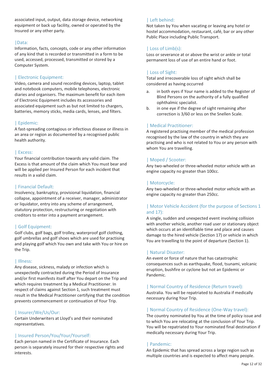associated input, output, data storage device, networking equipment or back up facility, owned or operated by the Insured or any other party.

### |Data:

Information, facts, concepts, code or any other information of any kind that is recorded or transmitted in a form to be used, accessed, processed, transmitted or stored by a Computer System.

### | Electronic Equipment:

Video, camera and sound recording devices, laptop, tablet and notebook computers, mobile telephones, electronic diaries and organisers. The maximum benefit for each item of Electronic Equipment includes its accessories and associated equipment such as but not limited to chargers, batteries, memory sticks, media cards, lenses, and filters.

### | Epidemic:

A fast-spreading contagious or infectious disease or illness in an area or region as documented by a recognised public health authority.

### | Excess:

Your financial contribution towards any valid claim. The Excess is that amount of the claim which You must bear and will be applied per Insured Person for each incident that results in a valid claim.

### | Financial Default:

Insolvency, bankruptcy, provisional liquidation, financial collapse, appointment of a receiver, manager, administrator or liquidator, entry into any scheme of arrangement, statutory protection, restructuring or negotiation with creditors to enter into a payment arrangement.

### | Golf Equipment:

Golf clubs, golf bags, golf trolley, waterproof golf clothing, golf umbrellas and golf shoes which are used for practising and playing golf which You own and take with You or hire on the Trip.

### | Illness:

Any disease, sickness, malady or infection which is unexpectedly contracted during the Period of Insurance and/or first manifests itself after You depart on the Trip and which requires treatment by a Medical Practitioner. In respect of claims against Section 1, such treatment must result in the Medical Practitioner certifying that the condition prevents commencement or continuation of Your Trip.

### | Insurer/We/Us/Our:

Certain Underwriters at Lloyd's and their nominated representatives.

### | Insured Person/You/Your/Yourself:

Each person named in the Certificate of Insurance. Each person is separately insured for their respective rights and interests.

### | Left behind:

Not taken by You when vacating or leaving any hotel or hostel accommodation, restaurant, café, bar or any other Public Place including Public Transport.

### | Loss of Limb(s):

Loss or severance at or above the wrist or ankle or total permanent loss of use of an entire hand or foot.

### | Loss of Sight:

Total and irrecoverable loss of sight which shall be considered as having occurred

- a. in both eyes if Your name is added to the Register of Blind Persons on the authority of a fully qualified ophthalmic specialist.
- b. in one eye if the degree of sight remaining after correction is 3/60 or less on the Snellen Scale.

### | Medical Practitioner:

A registered practising member of the medical profession recognised by the law of the country in which they are practising and who is not related to You or any person with whom You are travelling.

### | Moped / Scooter:

Any two-wheeled or three-wheeled motor vehicle with an engine capacity no greater than 100cc.

### | Motorcycle:

Any two-wheeled or three-wheeled motor vehicle with an engine capacity no greater than 250cc.

### | Motor Vehicle Accident (for the purpose of Sections 1 and 17):

A single, sudden and unexpected event involving collision with another vehicle, another road user or stationary object which occurs at an identifiable time and place and causes damage to the hired vehicle (Section 17) or vehicle in which You are travelling to the point of departure (Section 1).

### | Natural Disaster:

An event or force of nature that has catastrophic consequences such as earthquake, flood, tsunami, volcanic eruption, bushfire or cyclone but not an Epidemic or Pandemic.

### | Normal Country of Residence (Return travel):

Australia. You will be repatriated to Australia if medically necessary during Your Trip.

### | Normal Country of Residence (One-Way travel):

The country nominated by You at the time of policy issue and to which You are relocating at the conclusion of Your Trip. You will be repatriated to Your nominated final destination if medically necessary during Your Trip.

### | Pandemic:

An Epidemic that has spread across a large region such as multiple countries and is expected to affect many people.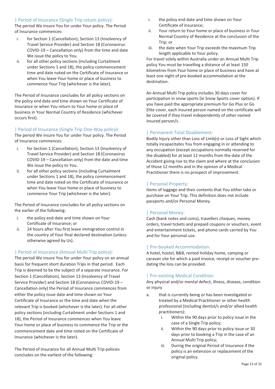### | Period of Insurance (Single Trip return policy):

The period We insure You for under Your policy. The Period of Insurance commences:

- i. for Section 1 (Cancellation), Section 13 (Insolvency of Travel Service Provider) and Section 18 (Coronavirus COVID-19 – Cancellation only) from the time and date We issue the policy to You.
- ii. for all other policy sections (including Curtailment under Sections 1 and 18), the policy commencement time and date noted on the Certificate of Insurance or when You leave Your home or place of business to commence Your Trip (whichever is the later).

The Period of Insurance concludes for all policy sections on the policy end date and time shown on Your Certificate of Insurance or when You return to Your home or place of business in Your Normal Country of Residence (whichever occurs first).

### | Period of Insurance (Single Trip One-Way policy):

The period We insure You for under Your policy. The Period of Insurance commences:

- i. for Section 1 (Cancellation), Section 13 (Insolvency of Travel Service Provider) and Section 18 (Coronavirus COVID-19 – Cancellation only) from the date and time We issue the policy to You.
- ii. for all other policy sections (including Curtailment under Sections 1 and 18), the policy commencement time and date noted on the Certificate of Insurance or when You leave Your home or place of business to commence Your Trip (whichever is the later).

The Period of Insurance concludes for all policy sections on the earlier of the following:

- i. the policy end date and time shown on Your Certificate of Insurance; or
- ii. 24 hours after You first leave immigration control in the country of Your final declared destination (unless otherwise agreed by Us).

### | Period of Insurance (Annual Multi Trip policy):

The period We insure You for under Your policy on an annual basis for frequent short duration Trips in that period. Each Trip is deemed to be the subject of a separate insurance. For Section 1 (Cancellation), Section 13 (Insolvency of Travel Service Provider) and Section 18 (Coronavirus COVID-19 – Cancellation only) the Period of Insurance commences from either the policy issue date and time shown on Your Certificate of Insurance or the time and date when the relevant Trip is booked (whichever is the later). For all other policy sections (including Curtailment under Sections 1 and 18), the Period of Insurance commences when You leave Your home or place of business to commence the Trip or the commencement date and time noted on the Certificate of Insurance (whichever is the later).

The Period of Insurance for all Annual Multi Trip policies concludes on the earliest of the following:

- i. the policy end date and time shown on Your Certificate of Insurance;
- ii. Your return to Your home or place of business in Your Normal Country of Residence at the conclusion of the Trip; or
- iii. the date when Your Trip exceeds the maximum Trip length applicable to Your policy.

For travel solely within Australia under an Annual Multi Trip policy You must be travelling a distance of at least 150 kilometres from Your home or place of business and have at least one night of pre-booked accommodation at the destination.

An Annual Multi Trip policy includes 30 days cover for participation in snow sports (ie Snow Sports cover option). If you have paid the appropriate premium for Go Plus or Go Elite cover, each insured person named on the certificate will be covered if they travel independently of other named insured person/s.

### | Permanent Total Disablement:

Bodily Injury other than Loss of Limb(s) or Loss of Sight which totally incapacitates You from engaging in or attending to any occupation (except occupations normally reserved for the disabled) for at least 12 months from the date of the Accident giving rise to the claim and where at the conclusion of those 12 months and in the opinion of a Medical Practitioner there is no prospect of improvement.

### | Personal Property:

Items of luggage and their contents that You either take or purchase on Your Trip. This definition does not include passports and/or Personal Money.

### | Personal Money:

Cash (bank notes and coins), travellers cheques, money orders, travel tickets and prepaid coupons or vouchers, event and entertainment tickets, and phone cards carried by You and for Your personal use.

### | Pre-booked Accommodation:

A hotel, hostel, B&B, rented holiday home, camping or caravan site for which a paid invoice, receipt or voucher predating the loss can be provided.

### | Pre-existing Medical Condition:

Any physical and/or mental defect, illness, disease, condition or injury

- a. that is currently being or has been investigated or treated by a Medical Practitioner or other health professional (including dentist/s and/or allied health practitioners):
	- i. Within the 90 days prior to policy issue in the case of a Single Trip policy;
	- ii. Within the 90 days prior to policy issue or 30 days prior to booking a Trip in the case of an Annual Multi Trip policy;
	- iii. During the original Period of Insurance if the policy is an extension or replacement of the original policy.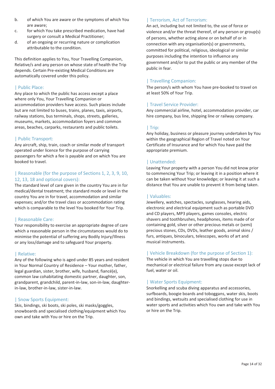- b. of which You are aware or the symptoms of which You are aware;
- c. for which You take prescribed medication, have had surgery or consult a Medical Practitioner;
- d. of an ongoing or recurring nature or complication attributable to the condition.

This definition applies to You, Your Travelling Companion, Relative/s and any person on whose state of health the Trip depends. Certain Pre-existing Medical Conditions are automatically covered under this policy.

### | Public Place:

Any place to which the public has access except a place where only You, Your Travelling Companion or accommodation providers have access. Such places include but are not limited to buses, trains, planes, taxis, airports, railway stations, bus terminals, shops, streets, galleries, museums, markets, accommodation foyers and common areas, beaches, carparks, restaurants and public toilets.

### | Public Transport:

Any aircraft, ship, train, coach or similar mode of transport operated under licence for the purpose of carrying passengers for which a fee is payable and on which You are booked to travel.

### | Reasonable (for the purpose of Sections 1, 2, 3, 9, 10, 12, 13, 18 and optional covers):

The standard level of care given in the country You are in for medical/dental treatment; the standard mode or level in the country You are in for travel, accommodation and similar expenses; and/or the travel class or accommodation rating which is comparable to the level You booked for Your Trip.

### | Reasonable Care:

Your responsibility to exercise an appropriate degree of care which a reasonable person in the circumstances would do to minimise the potential of suffering any Bodily Injury/Illness or any loss/damage and to safeguard Your property.

### | Relative:

Any of the following who is aged under 85 years and resident in Your Normal Country of Residence – Your mother, father, legal guardian, sister, brother, wife, husband, fiancé(e), common law cohabitating domestic partner, daughter, son, grandparent, grandchild, parent-in-law, son-in-law, daughterin-law, brother-in-law, sister-in-law.

### | Snow Sports Equipment:

Skis, bindings, ski boots, ski poles, ski masks/goggles, snowboards and specialised clothing/equipment which You own and take with You or hire on the Trip.

### | Terrorism, Act of Terrorism:

An act, including but not limited to, the use of force or violence and/or the threat thereof, of any person or group(s) of persons, whether acting alone or on behalf of or in connection with any organisation(s) or governments, committed for political, religious, ideological or similar purposes including the intention to influence any government and/or to put the public or any member of the public in fear.

### | Travelling Companion:

The person/s with whom You have pre-booked to travel on at least 50% of Your Trip.

### | Travel Service Provider:

Any commercial airline, hotel, accommodation provider, car hire company, bus line, shipping line or railway company.

### | Trip:

Any holiday, business or pleasure journey undertaken by You within the geographical Region of Travel noted on Your Certificate of Insurance and for which You have paid the appropriate premium.

### | Unattended:

Leaving Your property with a person You did not know prior to commencing Your Trip; or leaving it in a position where it can be taken without Your knowledge; or leaving it at such a distance that You are unable to prevent it from being taken.

### | Valuables:

Jewellery, watches, spectacles, sunglasses, hearing aids, electronic and electrical equipment such as portable DVD and CD players, MP3 players, games consoles, electric shavers and toothbrushes, headphones, items made of or containing gold, silver or other precious metals or (semi) precious stones, CDs, DVDs, leather goods, animal skins / furs, antiques, binoculars, telescopes, works of art and musical instruments.

### | Vehicle Breakdown (for the purpose of Section 1):

The vehicle in which You are travelling stops due to mechanical or electrical failure from any cause except lack of fuel, water or oil.

### | Water Sports Equipment:

Snorkelling and scuba diving apparatus and accessories, surfboards, boogie boards and toboggans, water skis, boots and bindings, wetsuits and specialised clothing for use in water sports and activities which You own and take with You or hire on the Trip.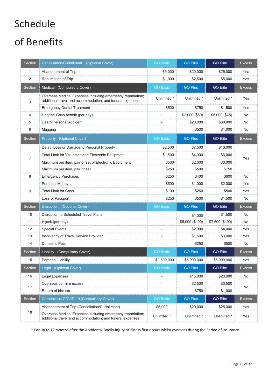# Schedule

# of Benefits

| Section        | Cancellation/Curtailment<br>(Optional Cover)                                                                             | <b>GO Basic</b> | <b>GO Plus</b>  | <b>GO Elite</b> | <b>Excess</b> |
|----------------|--------------------------------------------------------------------------------------------------------------------------|-----------------|-----------------|-----------------|---------------|
| 1              | Abandonment of Trip                                                                                                      | \$5,000         | \$20,000        | \$25,000        | Yes           |
| $\overline{2}$ | <b>Resumption of Trip</b>                                                                                                | \$1,000         | \$2,500         | \$5,000         | Yes           |
| Section        | Medical (Compulsory Cover)                                                                                               | <b>GO Basic</b> | <b>GO Plus</b>  | <b>GO Elite</b> | <b>Excess</b> |
| 3              | Overseas Medical Expenses including emergency repatriation;<br>additional travel and accommodation; and funeral expenses | Unlimited *     | Unlimited *     | Unlimited *     | Yes           |
|                | <b>Emergency Dental Treatment</b>                                                                                        | \$500           | \$750           | \$1,500         | Yes           |
| 4              | Hospital Cash benefit (per day)                                                                                          | ÷,              | \$2,000 (\$50)  | \$5,000 (\$75)  | No            |
| 5              | Death/Personal Accident                                                                                                  | ÷               | \$20,000        | \$30,000        | No            |
| 6              | Mugging                                                                                                                  |                 | \$500           | \$1,000         | No            |
| Section        | Property (Optional Cover)                                                                                                | <b>GO Basic</b> | <b>GO Plus</b>  | <b>GO Elite</b> | <b>Excess</b> |
|                | Delay, Loss or Damage to Personal Property                                                                               | \$2,500         | \$7,500         | \$10,000        |               |
| $\overline{7}$ | Total Limit for Valuables and Electronic Equipment                                                                       | \$1,500         | \$4,000         | \$6,000         | Yes           |
|                | Maximum per item, pair or set of Electronic Equipment                                                                    | \$500           | \$2.000         | \$3,000         |               |
|                | Maximum per item, pair or set                                                                                            | \$250           | \$500           | \$750           |               |
| 8              | <b>Emergency Purchases</b>                                                                                               | \$250           | \$400           | \$600           | <b>No</b>     |
|                | Personal Money                                                                                                           | \$500           | \$1,000         | \$2,000         | Yes           |
| 9              | <b>Total Limit for Cash</b>                                                                                              | \$100           | \$250           | \$500           | Yes           |
|                | Loss of Passport                                                                                                         | \$250           | \$500           | \$1,500         | No            |
| Section        | Disruption (Optional Cover)                                                                                              | <b>GO Basic</b> | <b>GO Plus</b>  | <b>GO Elite</b> | <b>Excess</b> |
| 10             | Disruption to Scheduled Travel Plans                                                                                     | $\overline{a}$  | \$1,000         | \$1,500         | No            |
| 11             | Hijack (per day)                                                                                                         | ÷               | \$5,000 (\$100) | \$7,500 (\$100) | <b>No</b>     |
| 12             | <b>Special Events</b>                                                                                                    | ÷               | \$2,000         | \$4,000         | Yes           |
| 13             | Insolvency of Travel Service Provider                                                                                    | ÷,              | \$1,500         | \$3,000         | Yes           |
| 14             | <b>Domestic Pets</b>                                                                                                     | $\overline{a}$  | \$250           | \$500           | No            |
| Section        | Liability (Compulsory Cover)                                                                                             | <b>GO Basic</b> | <b>GO Plus</b>  | <b>GO Elite</b> | <b>Excess</b> |
| 15             | Personal Liability                                                                                                       | \$2,500,000     | \$5,000,000     | \$5,000,000     | Yes           |
| Section        | Legal (Optional Cover)                                                                                                   | <b>GO Basic</b> | <b>GO Plus</b>  | <b>GO Elite</b> | <b>Excess</b> |
| 16             | <b>Legal Expenses</b>                                                                                                    | ÷               | \$15,000        | \$20,000        | No            |
| 17             | Overseas car hire excess                                                                                                 | ÷,              | \$2,500         | \$3,500         | No            |
|                | Return of hire car                                                                                                       | $\overline{a}$  | \$750           | \$1,000         |               |
| Section        | Coronavirus COVID-19 (Compulsory Cover)                                                                                  | <b>GO Basic</b> | <b>GO Plus</b>  | <b>GO Elite</b> | <b>Excess</b> |
|                | Abandonment of Trip (Cancellation/Curtailment)                                                                           | \$5,000         | \$20,000        | \$25,000        | Yes           |
| 18             | Overseas Medical Expenses including emergency repatriation;<br>additional travel and accommodation; and funeral expenses | Unlimited *     | Unlimited *     | Unlimited *     | Yes           |

\* For up to 12 months after the Accidental Bodily Injury or Illness first occurs whilst overseas during the Period of Insurance.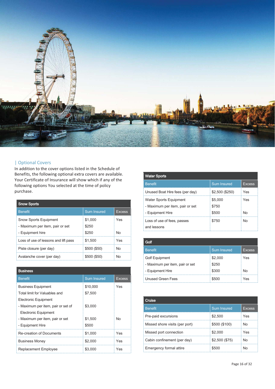

### | Optional Covers

In addition to the cover options listed in the Schedule of Benefits, the following optional extra covers are available. Your Certificate of Insurance will show which if any of the following options You selected at the time of policy purchase.

| <b>Snow Sports</b>                   |                    |        |  |
|--------------------------------------|--------------------|--------|--|
| <b>Benefit</b>                       | <b>Sum Insured</b> | Excess |  |
| <b>Snow Sports Equipment</b>         | \$1,000            | Yes    |  |
| - Maximum per item, pair or set      | \$250              |        |  |
| - Equipment hire                     | \$250              | N٥     |  |
| Loss of use of lessons and lift pass | \$1,500            | Yes    |  |
| Piste closure (per day)              | \$500 (\$50)       | N٥     |  |
| Avalanche cover (per day)            | \$500 (\$50)       | Nn     |  |

| Business                           |                    |               |  |
|------------------------------------|--------------------|---------------|--|
| <b>Benefit</b>                     | <b>Sum Insured</b> | <b>Excess</b> |  |
| <b>Business Equipment</b>          | \$10,000           | Yes           |  |
| Total limit for Valuables and      | \$7.500            |               |  |
| Electronic Equipment               |                    |               |  |
| - Maximum per item, pair or set of | \$3,000            |               |  |
| <b>Electronic Equipment</b>        |                    |               |  |
| - Maximum per item, pair or set    | \$1,500            | No            |  |
| - Equipment Hire                   | \$500              |               |  |
| <b>Re-creation of Documents</b>    | \$1,000            | Yes           |  |
| <b>Business Money</b>              | \$2,000            | Yes           |  |
| <b>Replacement Employee</b>        | \$3.000            | Yes           |  |

| <b>Water Sports</b>                                                                  |                           |           |
|--------------------------------------------------------------------------------------|---------------------------|-----------|
| <b>Benefit</b>                                                                       | <b>Sum Insured</b>        | Excess    |
| Unused Boat Hire fees (per day)                                                      | \$2,500 (\$250)           | Yes       |
| <b>Water Sports Equipment</b><br>- Maximum per item, pair or set<br>- Equipment Hire | \$5,000<br>\$750<br>\$500 | Yes<br>N٥ |
| Loss of use of fees, passes<br>and lessons                                           | \$750                     | N٥        |

| <b>Golf</b>                     |                    |        |
|---------------------------------|--------------------|--------|
| <b>Benefit</b>                  | <b>Sum Insured</b> | Excess |
| <b>Golf Equipment</b>           | \$2,000            | Yes    |
| - Maximum per item, pair or set | \$250              |        |
| - Equipment Hire                | \$300              | N٥     |
| <b>Unused Green Fees</b>        | \$500              | Yes    |

| Cruise                         |                    |        |
|--------------------------------|--------------------|--------|
| <b>Benefit</b>                 | <b>Sum Insured</b> | Excess |
| Pre-paid excursions            | \$2,500            | Yes    |
| Missed shore visits (per port) | \$500 (\$100)      | Nο     |
| Missed port connection         | \$2.000            | Yes    |
| Cabin confinement (per day)    | \$2,500 (\$75)     | N٥     |
| Emergency formal attire        |                    |        |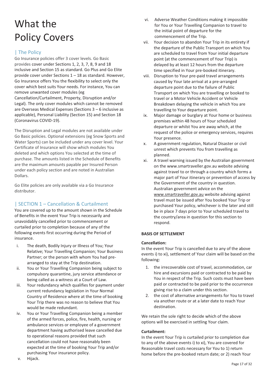# What the Policy Covers

### | The Policy

Go Insurance policies offer 3 cover levels. Go Basic provides cover under Sections 1, 2, 3, 7, 8, 9 and 18 inclusive and Section 15 as standard. Go Plus and Go Elite provide cover under Sections 1 – 18 as standard. However, Go Insurance offers You the flexibility to select only the cover which best suits Your needs. For instance, You can remove unwanted cover modules (eg Cancellation/Curtailment, Property, Disruption and/or Legal). The only cover modules which cannot be removed are Overseas Medical Expenses (Sections 3 – 6 inclusive as applicable), Personal Liability (Section 15) and Section 18 (Coronavirus COVID-19).

The Disruption and Legal modules are not available under Go Basic policies. Optional extensions (eg Snow Sports and Water Sports) can be included under any cover level. Your Certificate of Insurance will show which modules You deleted and which options You selected at the time of purchase. The amounts listed in the Schedule of Benefits are the maximum amounts payable per Insured Person under each policy section and are noted in Australian Dollars.

Go Elite policies are only available via a Go Insurance distributor.

### | SECTION 1 – Cancellation & Curtailment

You are covered up to the amount shown in the Schedule of Benefits in the event Your Trip is necessarily and unavoidably cancelled prior to commencement or curtailed prior to completion because of any of the following events first occurring during the Period of insurance.

- i. The death, Bodily Injury or Illness of You; Your Relative; Your Travelling Companion; Your Business Partner; or the person with whom You had prearranged to stay at the Trip destination.
- ii. You or Your Travelling Companion being subject to compulsory quarantine, jury service attendance or being called as a witness at a Court of Law.
- iii. Your redundancy which qualifies for payment under current redundancy legislation in Your Normal Country of Residence where at the time of booking Your Trip there was no reason to believe that You would be made redundant.
- iv. You or Your Travelling Companion being a member of the armed forces, police, fire, health, nursing or ambulance services or employee of a government department having authorised leave cancelled due to operational reasons provided that such cancellation could not have reasonably been expected at the time of booking Your Trip and/or purchasing Your insurance policy.
- vi. Adverse Weather Conditions making it impossible for You or Your Travelling Companion to travel to the initial point of departure for the commencement of the Trip.
- vii. Your decision to abandon Your Trip in its entirety if the departure of the Public Transport on which You are scheduled to travel from Your initial departure point (at the commencement of Your Trip) is delayed by at least 12 hours from the departure time specified in Your pre-booked itinerary.
- viii. Disruption to Your pre-paid travel arrangements caused by Your late arrival at a pre-arranged departure point due to the failure of Public Transport on which You are travelling or booked to travel or a Motor Vehicle Accident or Vehicle Breakdown delaying the vehicle in which You are travelling to Your departure point.
- ix. Major damage or burglary at Your home or business premises within 48 hours of Your scheduled departure or whilst You are away which, at the request of the police or emergency services, requires Your presence.
- x. A government regulation, Natural Disaster or civil unrest which prevents You from travelling as planned.
- xi. A travel warning issued by the Australian government on the www.smartraveller.gov.au website advising against travel to or through a country which forms a major part of Your itinerary or prevention of access by the Government of the country in question. Australian government advice on the www.smartraveller.gov.au website advising against travel must be issued after You booked Your Trip or purchased Your policy, whichever is the later and still be in place 7 days prior to Your scheduled travel to the country/area in question for this section to respond.

### **BASIS OF SETTLEMENT**

### **Cancellation:**

In the event Your Trip is cancelled due to any of the above events i) to xi), settlement of Your claim will be based on the following:

- 1. the irrecoverable cost of travel, accommodation, car hire and excursions paid or contracted to be paid by You in respect of the Trip. Such costs must have been paid or contracted to be paid prior to the occurrence giving rise to a claim under this section.
- 2. the cost of alternative arrangements for You to travel via another route or at a later date to reach Your destination.

We retain the sole right to decide which of the above options will be exercised in settling Your claim.

### **Curtailment:**

In the event Your Trip is curtailed prior to completion due to any of the above events i) to xi), You are covered for Reasonable travel costs necessary for You to 1) return home before the pre-booked return date; or 2) reach Your

v. Hijack.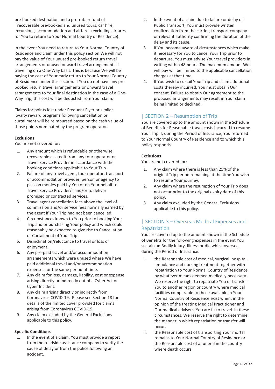pre-booked destination and a pro-rata refund of irrecoverable pre-booked and unused tours, car hire, excursions, accommodation and airfares (excluding airfares for You to return to Your Normal Country of Residence).

In the event You need to return to Your Normal Country of Residence and claim under this policy section We will not pay the value of Your unused pre-booked return travel arrangements or unused onward travel arrangements if travelling on a One-Way basis. This is because We will be paying the cost of Your early return to Your Normal Country of Residence under this section. If You do not have any prebooked return travel arrangements or onward travel arrangements to Your final destination in the case of a One-Way Trip, this cost will be deducted from Your claim.

Claims for points lost under Frequent Flyer or similar loyalty reward programs following cancellation or curtailment will be reimbursed based on the cash value of those points nominated by the program operator.

### **Exclusions**

You are not covered for:

- 1. Any amount which is refundable or otherwise recoverable as credit from any tour operator or Travel Service Provider in accordance with the booking conditions applicable to Your Trip.
- 2. Failure of any travel agent, tour operator, transport or accommodation provider, person or agency to pass on monies paid by You or on Your behalf to Travel Service Provider/s and/or to deliver promised or contracted services.
- 3. Travel agent cancellation fees above the level of commission and/or service fees normally earned by the agent if Your Trip had not been cancelled.
- 4. Circumstances known to You prior to booking Your Trip and or purchasing Your policy and which could reasonably be expected to give rise to Cancellation or Curtailment of Your Trip.
- 5. Disinclination/reluctance to travel or loss of enjoyment.
- 6. Any pre-paid travel and/or accommodation arrangements which were unused where We have paid additional travel and/or accommodation expenses for the same period of time.
- 7. Any claim for loss, damage, liability, cost or expense arising directly or indirectly out of a Cyber Act or Cyber Incident.
- 8. Any claim arising directly or indirectly from Coronavirus COVID-19. Please see Section 18 for details of the limited cover provided for claims arising from Coronavirus COVID-19.
- 9. Any claim excluded by the General Exclusions applicable to this policy.

### **Specific Conditions**

1. In the event of a claim, You must provide a report from the roadside assistance company to verify the cause of delay or from the police following an accident.

- 2. In the event of a claim due to failure or delay of Public Transport, You must provide written confirmation from the carrier, transport company or relevant authority confirming the duration of the delay and its cause.
- 3. If You become aware of circumstances which make it necessary for You to cancel Your Trip prior to departure, You must advise Your travel providers in writing within 48 hours. The maximum amount We will pay will be limited to the applicable cancellation charges at that time.
- 4. If You wish to curtail Your Trip and claim additional costs thereby incurred, You must obtain Our consent. Failure to obtain Our agreement to the proposed arrangements may result in Your claim being limited or declined.

### | SECTION 2 – Resumption of Trip

You are covered up to the amount shown in the Schedule of Benefits for Reasonable travel costs incurred to resume Your Trip if, during the Period of Insurance, You returned to Your Normal Country of Residence and to which this policy responds.

### **Exclusions**

You are not covered for:

- 1. Any claim where there is less than 25% of the original Trip period remaining at the time You wish to resume Your journey.
- 2. Any claim where the resumption of Your Trip does not occur prior to the original expiry date of this policy.
- 3. Any claim excluded by the General Exclusions applicable to this policy.

### | SECTION 3 – Overseas Medical Expenses and Repatriation

You are covered up to the amount shown in the Schedule of Benefits for the following expenses in the event You sustain an Bodily Injury, Illness or die whilst overseas during the Period of Insurance:

- i. the Reasonable cost of medical, surgical, hospital, ambulance and nursing treatment together with repatriation to Your Normal Country of Residence by whatever means deemed medically necessary. We reserve the right to repatriate You or transfer You to another region or country where medical facilities comparable to those available in Your Normal Country of Residence exist when, in the opinion of the treating Medical Practitioner and Our medical advisers, You are fit to travel. In these circumstances, We reserve the right to determine the manner in which repatriation or transfer will occur.
- ii. the Reasonable cost of transporting Your mortal remains to Your Normal Country of Residence or the Reasonable cost of a funeral in the country where death occurs.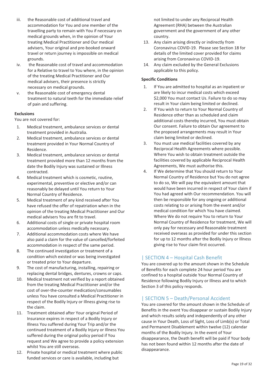- iii. the Reasonable cost of additional travel and accommodation for You and one member of the travelling party to remain with You if necessary on medical grounds when, in the opinion of Your treating Medical Practitioner and Our medical advisers, Your original and pre-booked onward travel or return journey is impossible on medical grounds.
- iv. the Reasonable cost of travel and accommodation for a Relative to travel to You where, in the opinion of the treating Medical Practitioner and Our medical advisers, their presence is strictly necessary on medical grounds.
- v. the Reasonable cost of emergency dental treatment to natural teeth for the immediate relief of pain and suffering.

### **Exclusions**

You are not covered for:

- 1. Medical treatment, ambulance services or dental treatment provided in Australia.
- 2. Medical treatment, ambulance services or dental treatment provided in Your Normal Country of Residence.
- 3. Medical treatment, ambulance services or dental treatment provided more than 12 months from the date the Bodily Injury was sustained or Illness contracted.
- 4. Medical treatment which is cosmetic, routine, experimental, preventive or elective and/or can reasonably be delayed until You return to Your Normal Country of Residence.
- 5. Medical treatment of any kind received after You have refused the offer of repatriation when in the opinion of the treating Medical Practitioner and Our medical advisers You are fit to travel.
- 6. Additional costs of single or private hospital room accommodation unless medically necessary.
- 7. Additional accommodation costs where We have also paid a claim for the value of cancelled/forfeited accommodation in respect of the same period.
- 8. The continued investigation or treatment of a condition which existed or was being investigated or treated prior to Your departure.
- 9. The cost of manufacturing, installing, repairing or replacing dental bridges, dentures, crowns or caps.
- 10. Medical treatment not verified by a report obtained from the treating Medical Practitioner and/or the cost of over-the-counter medication/consumables unless You have consulted a Medical Practitioner in respect of the Bodily Injury or Illness giving rise to the claim.
- 11. Treatment obtained after Your original Period of Insurance expires in respect of a Bodily Injury or Illness You suffered during Your Trip and/or the continued treatment of a Bodily Injury or Illness You suffered during the original policy period if You request and We agree to provide a policy extension whilst You are still overseas.
- 12. Private hospital or medical treatment where public funded services or care is available, including but

not limited to under any Reciprocal Health Agreement (RHA) between the Australian government and the government of any other country.

- 13. Any claim arising directly or indirectly from Coronavirus COVID-19. Please see Section 18 for details of the limited cover provided for claims arising from Coronavirus COVID-19.
- 14. Any claim excluded by the General Exclusions applicable to this policy.

### **Specific Conditions**

- 1. If You are admitted to hospital as an inpatient or are likely to incur medical costs which exceed \$2,000 You must contact Us. Failure to do so may result in Your claim being limited or declined.
- 2. If You wish to return to Your Normal Country of Residence other than as scheduled and claim additional costs thereby incurred, You must obtain Our consent. Failure to obtain Our agreement to the proposed arrangements may result in Your claim being limited or declined.
- 3. You must use medical facilities covered by any Reciprocal Health Agreements where possible. Where You wish to obtain treatment outside the facilities covered by applicable Reciprocal Health Agreements, We must authorise this.
- 4. If We determine that You should return to Your Normal Country of Residence but You do not agree to do so, We will pay the equivalent amount that would have been incurred in respect of Your claim if You had agreed with Our recommendation. You will then be responsible for any ongoing or additional costs relating to or arising from the event and/or medical condition for which You have claimed. Where We do not require You to return to Your Normal Country of Residence for treatment, We will only pay for necessary and Reasonable treatment received overseas as provided for under this section for up to 12 months after the Bodily Injury or Illness giving rise to Your claim first occurred.

### | SECTION 4 – Hospital Cash Benefit

You are covered up to the amount shown in the Schedule of Benefits for each complete 24 hour period You are confined to a hospital outside Your Normal Country of Residence following Bodily Injury or Illness and to which Section 3 of this policy responds.

### | SECTION 5 – Death/Personal Accident

You are covered for the amount shown in the Schedule of Benefits in the event You disappear or sustain Bodily Injury and which results solely and independently of any other cause in Your Death, Loss of Sight, Loss of Limb(s) or Total and Permanent Disablement within twelve (12) calendar months of the Bodily Injury. In the event of Your disappearance, the Death benefit will be paid if Your body has not been found within 12 months after the date of disappearance.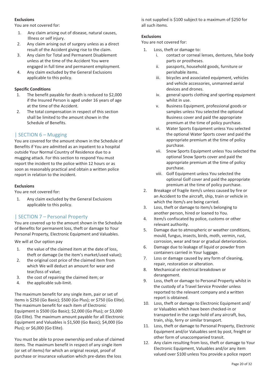### **Exclusions**

You are not covered for:

- 1. Any claim arising out of disease, natural causes, Illness or self injury.
- 2. Any claim arising out of surgery unless as a direct result of the Accident giving rise to the claim.
- 3. Any claim for Total and Permanent Disablement unless at the time of the Accident You were engaged in full time and permanent employment.
- 4. Any claim excluded by the General Exclusions applicable to this policy.

### **Specific Conditions**

- 1. The benefit payable for death is reduced to \$2,000 if the Insured Person is aged under 16 years of age at the time of the Accident.
- 2. The total compensation in respect of this section shall be limited to the amount shown in the Schedule of Benefits.

### | SECTION 6 – Mugging

You are covered for the amount shown in the Schedule of Benefits if You are admitted as an inpatient to a hospital outside Your Normal Country of Residence due to a mugging attack. For this section to respond You must report the incident to the police within 12 hours or as soon as reasonably practical and obtain a written police report in relation to the incident.

### **Exclusions**

You are not covered for:

1. Any claim excluded by the General Exclusions applicable to this policy.

### | SECTION 7 – Personal Property

You are covered up to the amount shown in the Schedule of Benefits for permanent loss, theft or damage to Your Personal Property, Electronic Equipment and Valuables.

We will at Our option pay

- 1. the value of the claimed item at the date of loss, theft or damage (ie the item's market/used value);
- 2. the original cost price of the claimed item from which We will deduct an amount for wear and tear/loss of value;
- 3. the cost of repairing the claimed item; or
- 4. the applicable sub-limit.

The maximum benefit for any single item, pair or set of items is \$250 (Go Basic); \$500 (Go Plus); or \$750 (Go Elite). The maximum benefit for each item of Electronic Equipment is \$500 (Go Basic); \$2,000 (Go Plus); or \$3,000 (Go Elite). The maximum amount payable for all Electronic Equipment and Valuables is \$1,500 (Go Basic); \$4,000 (Go Plus); or \$6,000 (Go Elite).

You must be able to prove ownership and value of claimed items. The maximum benefit in respect of any single item (or set of items) for which an original receipt, proof of purchase or insurance valuation which pre-dates the loss

is not supplied is \$100 subject to a maximum of \$250 for all such items.

### **Exclusions**

You are not covered for:

- 1. Loss, theft or damage to:
	- i. contact or corneal lenses, dentures, false body parts or prostheses.
	- ii. passports, household goods, furniture or perishable items.
	- iii. bicycles and associated equipment, vehicles and vehicle accessories, unmanned aerial devices and drones.
	- iv. general sports clothing and sporting equipment whilst in use.
	- v. Business Equipment, professional goods or samples unless You selected the optional Business cover and paid the appropriate premium at the time of policy purchase.
	- vi. Water Sports Equipment unless You selected the optional Water Sports cover and paid the appropriate premium at the time of policy purchase.
	- vii. Snow Sports Equipment unless You selected the optional Snow Sports cover and paid the appropriate premium at the time of policy purchase.
	- viii. Golf Equipment unless You selected the optional Golf cover and paid the appropriate premium at the time of policy purchase.
- 2. Breakage of fragile item/s unless caused by fire or an Accident to the aircraft, ship, train or vehicle in which the item/s are being carried.
- 3. Loss, theft or damage to item/s belonging to another person, hired or loaned to You.
- 4. Item/s confiscated by police, customs or other relevant authority.
- 5. Damage due to atmospheric or weather conditions, mould, fungus, insects, birds, moth, vermin, rust, corrosion, wear and tear or gradual deterioration.
- 6. Damage due to leakage of liquid or powder from containers carried in Your luggage.
- 7. Loss or damage caused by any form of cleaning, repair, restoration or alteration.
- 8. Mechanical or electrical breakdown or derangement.
- 9. Loss, theft or damage to Personal Property whilst in the custody of a Travel Service Provider unless reported to the relevant company and a written report is obtained.
- 10. Loss, theft or damage to Electronic Equipment and/ or Valuables which have been checked-in or transported in the cargo hold of any aircraft, bus, train, ship, ferry or similar transport.
- 11. Loss, theft or damage to Personal Property, Electronic Equipment and/or Valuables sent by post, freight or other form of unaccompanied transit.
- 12. Any claim resulting from loss, theft or damage to Your Electronic Equipment, Valuables and/or any item valued over \$100 unless You provide a police report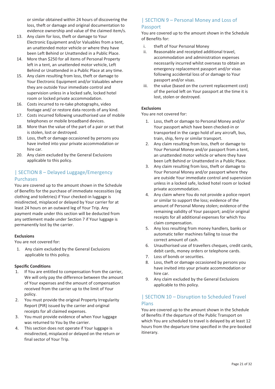or similar obtained within 24 hours of discovering the loss, theft or damage and original documentation to evidence ownership and value of the claimed item/s.

- 13. Any claim for loss, theft or damage to Your Electronic Equipment and/or Valuables from a tent, an unattended motor vehicle or where they have been Left Behind or Unattended in a Public Place.
- 14. More than \$250 for all items of Personal Property left in a tent, an unattended motor vehicle, Left Behind or Unattended in a Public Place at any time.
- 15. Any claim resulting from loss, theft or damage to Your Electronic Equipment and/or Valuables where they are outside Your immediate control and supervision unless in a locked safe, locked hotel room or locked private accommodation.
- 16. Costs incurred to re-take photographs, video footage and/ or restore data records of any kind.
- 17. Costs incurred following unauthorised use of mobile telephones or mobile broadband devices.
- 18. More than the value of the part of a pair or set that is stolen, lost or destroyed.
- 19. Loss, theft or damage occasioned by persons you have invited into your private accommodation or hire car.
- 20. Any claim excluded by the General Exclusions applicable to this policy.

### | SECTION 8 – Delayed Luggage/Emergency Purchases

You are covered up to the amount shown in the Schedule of Benefits for the purchase of immediate necessities (eg clothing and toiletries) if Your checked-in luggage is misdirected, misplaced or delayed by Your carrier for at least 24 hours on an outward leg of Your Trip. Any payment made under this section will be deducted from any settlement made under Section 7 if Your luggage is permanently lost by the carrier.

### **Exclusions**

You are not covered for:

1. Any claim excluded by the General Exclusions applicable to this policy.

### **Specific Conditions**

- 1. If You are entitled to compensation from the carrier, We will only pay the difference between the amount of Your expenses and the amount of compensation received from the carrier up to the limit of Your policy.
- 2. You must provide the original Property Irregularity Report (PIR) issued by the carrier and original receipts for all claimed expenses.
- 3. You must provide evidence of when Your luggage was returned to You by the carrier.
- 4. This section does not operate if Your luggage is misdirected, misplaced or delayed on the return or final sector of Your Trip.

### | SECTION 9 – Personal Money and Loss of Passport

You are covered up to the amount shown in the Schedule of Benefits for:

- i. theft of Your Personal Money
- ii. Reasonable and receipted additional travel, accommodation and administration expenses necessarily incurred whilst overseas to obtain an emergency replacement passport and/or visas following accidental loss of or damage to Your passport and/or visas.
- iii. the value (based on the current replacement cost) of the period left on Your passport at the time it is lost, stolen or destroyed.

### **Exclusions**

You are not covered for:

- 1. Loss, theft or damage to Personal Money and/or Your passport which have been checked-in or transported in the cargo hold of any aircraft, bus, train, ship, ferry or similar transport.
- 2. Any claim resulting from loss, theft or damage to Your Personal Money and/or passport from a tent, an unattended motor vehicle or where they have been Left Behind or Unattended in a Public Place.
- 3. Any claim resulting from loss, theft or damage to Your Personal Money and/or passport where they are outside Your immediate control and supervision unless in a locked safe, locked hotel room or locked private accommodation.
- 4. Any claim where You do not provide a police report or similar to support the loss; evidence of the amount of Personal Money stolen; evidence of the remaining validity of Your passport; and/or original receipts for all additional expenses for which You claim compensation.
- 5. Any loss resulting from money handlers, banks or automatic teller machines failing to issue the correct amount of cash.
- 6. Unauthorised use of travellers cheques, credit cards, debit cards, money orders or telephone cards.
- 7. Loss of bonds or securities.
- 8. Loss, theft or damage occasioned by persons you have invited into your private accommodation or hire car.
- 9. Any claim excluded by the General Exclusions applicable to this policy.

### | SECTION 10 – Disruption to Scheduled Travel Plans

You are covered up to the amount shown in the Schedule of Benefits if the departure of the Public Transport on which You are scheduled to travel is delayed by at least 12 hours from the departure time specified in the pre-booked itinerary.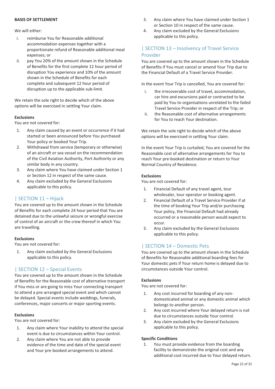### **BASIS OF SETTLEMENT**

### We will either:

- i. reimburse You for Reasonable additional accommodation expenses together with a proportionate refund of Reasonable additional meal expenses; or
- ii. pay You 20% of the amount shown in the Schedule of Benefits for the first complete 12 hour period of disruption You experience and 10% of the amount shown in the Schedule of Benefits for each complete and subsequent 12 hour period of disruption up to the applicable sub-limit.

We retain the sole right to decide which of the above options will be exercised in settling Your claim.

### **Exclusions**

You are not covered for:

- 1. Any claim caused by an event or occurrence if it had started or been announced before You purchased Your policy or booked Your Trip.
- 2. Withdrawal from service (temporary or otherwise) of an aircraft or sea vessel on the recommendation of the Civil Aviation Authority, Port Authority or any similar body in any country.
- 3. Any claim where You have claimed under Section 1 or Section 12 in respect of the same cause.
- 4. Any claim excluded by the General Exclusions applicable to this policy.

### | SECTION 11 – Hijack

You are covered up to the amount shown in the Schedule of Benefits for each complete 24 hour period that You are detained due to the unlawful seizure or wrongful exercise of control of an aircraft or the crew thereof in which You are travelling.

### **Exclusions**

You are not covered for:

1. Any claim excluded by the General Exclusions applicable to this policy.

### | SECTION 12 – Special Events

You are covered up to the amount shown in the Schedule of Benefits for the Reasonable cost of alternative transport if You miss or are going to miss Your connecting transport to attend a pre-arranged special event and which cannot be delayed. Special events include weddings, funerals, conferences, major concerts or major sporting events.

### **Exclusions**

You are not covered for:

- 1. Any claim where Your inability to attend the special event is due to circumstances within Your control.
- 2. Any claim where You are not able to provide evidence of the time and date of the special event and Your pre-booked arrangements to attend.
- 3. Any claim where You have claimed under Section 1 or Section 10 in respect of the same cause.
- 4. Any claim excluded by the General Exclusions applicable to this policy.

### | SECTION 13 – Insolvency of Travel Service Provider

You are covered up to the amount shown in the Schedule of Benefits if You must cancel or amend Your Trip due to the Financial Default of a Travel Service Provider.

In the event Your Trip is cancelled, You are covered for:

- i. the irrecoverable cost of travel, accommodation, car hire and excursions paid or contracted to be paid by You to organisations unrelated to the failed Travel Service Provider in respect of the Trip; or
- ii. the Reasonable cost of alternative arrangements for You to reach Your destination.

We retain the sole right to decide which of the above options will be exercised in settling Your claim.

In the event Your Trip is curtailed, You are covered for the Reasonable cost of alternative arrangements for You to reach Your pre-booked destination or return to Your Normal Country of Residence.

### **Exclusions**

You are not covered for:

- 1. Financial Default of any travel agent, tour wholesaler, tour operator or booking agent.
- 2. Financial Default of a Travel Service Provider if at the time of booking Your Trip and/or purchasing Your policy, the Financial Default had already occurred or a reasonable person would expect to occur.
- 3. Any claim excluded by the General Exclusions applicable to this policy.

### | SECTION 14 – Domestic Pets

You are covered up to the amount shown in the Schedule of Benefits for Reasonable additional boarding fees for Your domestic pets if Your return home is delayed due to circumstances outside Your control.

### **Exclusions**

You are not covered for:

- 1. Any cost incurred for boarding of any nondomesticated animal or any domestic animal which belongs to another person.
- 2. Any cost incurred where Your delayed return is not due to circumstances outside Your control.
- 3. Any claim excluded by the General Exclusions applicable to this policy.

### **Specific Conditions**

1. You must provide evidence from the boarding facility to demonstrate the original cost and any additional cost incurred due to Your delayed return.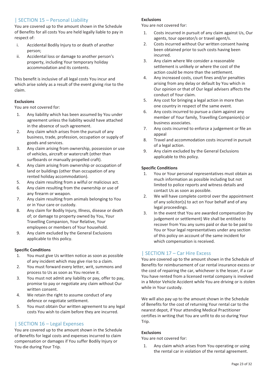### | SECTION 15 – Personal Liability

You are covered up to the amount shown in the Schedule of Benefits for all costs You are held legally liable to pay in respect of:

- i. Accidental Bodily Injury to or death of another person;
- ii. Accidental loss or damage to another person's property, including Your temporary holiday accommodation and its contents.

This benefit is inclusive of all legal costs You incur and which arise solely as a result of the event giving rise to the claim.

### **Exclusions**

You are not covered for:

- 1. Any liability which has been assumed by You under agreement unless the liability would have attached in the absence of such agreement.
- 2. Any claim which arises from the pursuit of any business, trade, profession, occupation or supply of goods and services.
- 3. Any claim arising from ownership, possession or use of vehicles, aircraft or watercraft (other than surfboards or manually propelled craft).
- 4. Any claim arising from ownership or occupation of land or buildings (other than occupation of any rented holiday accommodation).
- 5. Any claim resulting from a wilful or malicious act.
- 6. Any claim resulting from the ownership or use of any firearm or weapon.
- 7. Any claim resulting from animals belonging to You or in Your care or custody.
- 8. Any claim for Bodily Injury, Illness, disease or death of; or damage to property owned by You, Your Travelling Companion, Your Relative, Your employees or members of Your household.
- 9. Any claim excluded by the General Exclusions applicable to this policy.

### **Specific Conditions**

- 1. You must give Us written notice as soon as possible of any incident which may give rise to a claim.
- 2. You must forward every letter, writ, summons and process to Us as soon as You receive it.
- 3. You must not admit any liability or pay, offer to pay, promise to pay or negotiate any claim without Our written consent.
- 4. We retain the right to assume conduct of any defence or negotiate settlement.
- 5. You must obtain Our written agreement to any legal costs You wish to claim before they are incurred.

### | SECTION 16 – Legal Expenses

You are covered up to the amount shown in the Schedule of Benefits for legal costs and expenses incurred to claim compensation or damages if You suffer Bodily Injury or You die during Your Trip.

### **Exclusions**

You are not covered for:

- 1. Costs incurred in pursuit of any claim against Us, Our agents, tour operator/s or travel agent/s.
- 2. Costs incurred without Our written consent having been obtained prior to such costs having been incurred.
- 3. Any claim where We consider a reasonable settlement is unlikely or where the cost of the action could be more than the settlement.
- 4. Any increased costs, court fines and/or penalties arising from any delay or default by You which in Our opinion or that of Our legal advisers affects the conduct of Your claim.
- 5. Any cost for bringing a legal action in more than one country in respect of the same event.
- 6. Any costs incurred to pursue a claim against any member of Your family, Travelling Companion(s) or business associates.
- 7. Any costs incurred to enforce a judgement or file an appeal
- 8. Travel and accommodation costs incurred in pursuit of a legal action.
- 9. Any claim excluded by the General Exclusions applicable to this policy.

### **Specific Conditions**

- 1. You or Your personal representatives must obtain as much information as possible including but not limited to police reports and witness details and contact Us as soon as possible.
- 2. We will have complete control over the appointment of any solicitor(s) to act on Your behalf and of any legal proceedings.
- 3. In the event that You are awarded compensation (by judgement or settlement) We shall be entitled to recover from You any sums paid or due to be paid to You or Your legal representatives under any section of this policy on account of the same incident for which compensation is received.

### | SECTION 17 – Car Hire Excess

You are covered up to the amount shown in the Schedule of Benefits for reimbursement of car rental insurance excess or the cost of repairing the car, whichever is the lesser, if a car You have rented from a licensed rental company is involved in a Motor Vehicle Accident while You are driving or is stolen while in Your custody.

We will also pay up to the amount shown in the Schedule of Benefits for the cost of returning Your rental car to the nearest depot, if Your attending Medical Practitioner certifies in writing that You are unfit to do so during Your Trip.

### **Exclusions**

You are not covered for:

1. Any claim which arises from You operating or using the rental car in violation of the rental agreement.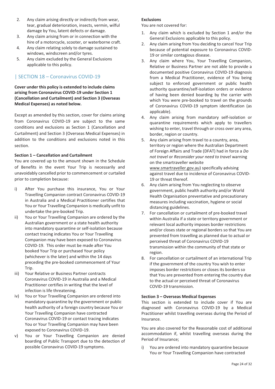- 2. Any claim arising directly or indirectly from wear, tear, gradual deterioration, insects, vermin, wilful damage by You, latent defects or damage.
- 3. Any claim arising from or in connection with the hire of a motorcycle, scooter, or waterborne craft.
- 4. Any claim relating solely to damage sustained to windows, windscreen and/or tyres.
- 5. Any claim excluded by the General Exclusions applicable to this policy.

### | SECTION 18 – Coronavirus COVID-19

**Cover under this policy is extended to include claims arising from Coronavirus COVID-19 under Section 1 (Cancellation and Curtailment) and Section 3 (Overseas Medical Expenses) as noted below.** 

Except as amended by this section, cover for claims arising from Coronavirus COVID-19 are subject to the same conditions and exclusions as Section 1 (Cancellation and Curtailment) and Section 3 (Overseas Medical Expenses) in addition to the conditions and exclusions noted in this section.

### **Section 1 – Cancellation and Curtailment**

You are covered up to the amount shown in the Schedule of Benefits in the event Your Trip is necessarily and unavoidably cancelled prior to commencement or curtailed prior to completion because:

- i) After You purchase this insurance, You or Your Travelling Companion contract Coronavirus COVID-19 in Australia and a Medical Practitioner certifies that You or Your Travelling Companion is medically unfit to undertake the pre-booked Trip.
- ii) You or Your Travelling Companion are ordered by the Australian government or a state health authority into mandatory quarantine or self-isolation because contact tracing indicates You or Your Travelling Companion may have been exposed to Coronavirus COVID-19. This order must be made after You booked Your Trip or purchased Your policy (whichever is the later) and within the 14 days preceding the pre-booked commencement of Your Trip.
- iii) Your Relative or Business Partner contracts Coronavirus COVID-19 in Australia and a Medical Practitioner certifies in writing that the level of infection is life threatening.
- iv) You or Your Travelling Companion are ordered into mandatory quarantine by the government or public health authority of a foreign country because You or Your Travelling Companion have contracted Coronavirus COVID-19 or contact tracing indicates You or Your Travelling Companion may have been exposed to Coronavirus COVID-19.
- v) You or Your Travelling Companion are denied boarding of Public Transport due to the detection of possible Coronavirus COVID-19 symptoms.

### **Exclusions**

You are not covered for:

- 1. Any claim which is excluded by Section 1 and/or the General Exclusions applicable to this policy.
- 2. Any claim arising from You deciding to cancel Your Trip because of potential exposure to Coronavirus COVID-19 or similar contagious disease.
- 3. Any claim where You, Your Travelling Companion, Relative or Business Partner are not able to provide a documented positive Coronavirus COVID-19 diagnosis from a Medical Practitioner, evidence of You being subject to enforced government or public health authority quarantine/self-isolation orders or evidence of having been denied boarding by the carrier with which You were pre-booked to travel on the grounds of Coronavirus COVID-19 symptom identification (as applicable).
- 4. Any claim arising from mandatory self-isolation or quarantine requirements which apply to travellers wishing to enter, travel through or cross over any area, border, region or country.
- 5. Any claim arising from travel to a country, area, territory or region where the Australian Department of Foreign Affairs and Trade (DFAT) had in force a *Do not travel* or *Reconsider your need to travel* warning on the smartraveller website www.smartraveller.gov.au) specifically advising against travel due to incidence of Coronavirus COVID-19 or threat thereof.
- 6. Any claim arising from You neglecting to observe government, public health authority and/or World Health Organisation preventative and precautionary measures including vaccination, hygiene or social distancing guidelines.
- 7. For cancellation or curtailment of pre-booked travel within Australia if a state or territory government or relevant local authority imposes border restrictions and/or closes state or regional borders so that You are prevented from travelling as planned due to actual or perceived threat of Coronavirus COVID-19 transmission within the community of that state or region.
- 8. For cancellation or curtailment of an international Trip if the government of the country You wish to enter imposes border restrictions or closes its borders so that You are prevented from entering the country due to the actual or perceived threat of Coronavirus COVID-19 transmission.

### **Section 3 – Overseas Medical Expenses**

This section is extended to include cover if You are diagnosed with Coronavirus COVID-19 by a Medical Practitioner whilst travelling overseas during the Period of Insurance.

You are also covered for the Reasonable cost of additional accommodation if, whilst travelling overseas during the Period of Insurance;

i) You are ordered into mandatory quarantine because You or Your Travelling Companion have contracted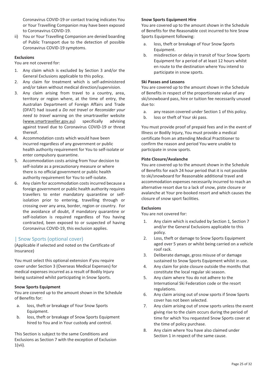Coronavirus COVID-19 or contact tracing indicates You or Your Travelling Companion may have been exposed to Coronavirus COVID-19.

ii) You or Your Travelling Companion are denied boarding of Public Transport due to the detection of possible Coronavirus COVID-19 symptoms.

### **Exclusions**

You are not covered for:

- 1. Any claim which is excluded by Section 3 and/or the General Exclusions applicable to this policy.
- 2. Any claim for treatment which is self-administered and/or taken without medical direction/supervision.
- 3. Any claim arising from travel to a country, area, territory or region where, at the time of entry, the Australian Department of Foreign Affairs and Trade (DFAT) had issued a *Do not travel* or *Reconsider your need to travel* warning on the smartraveller website (www.smartraveller.gov.au) specifically advising against travel due to Coronavirus COVID-19 or threat thereof.
- 4. Accommodation costs which would have been incurred regardless of any government or public health authority requirement for You to self-isolate or enter compulsory quarantine.
- 5. Accommodation costs arising from Your decision to self-isolate as a precautionary measure or where there is no official government or public health authority requirement for You to self-isolate.
- 6. Any claim for accommodation costs incurred because a foreign government or public health authority requires travellers to enter mandatory quarantine or selfisolation prior to entering, travelling through or crossing over any area, border, region or country. For the avoidance of doubt, if mandatory quarantine or self-isolation is required regardless of You having contracted, been exposed to or suspected of having Coronavirus COVID-19, this exclusion applies.

### | Snow Sports (optional cover)

(Applicable if selected and noted on the Certificate of Insurance)

You must select this optional extension if you require cover under Section 3 (Overseas Medical Expenses) for medical expenses incurred as a result of Bodily Injury being sustained whilst participating in Snow Sports.

### **Snow Sports Equipment**

You are covered up to the amount shown in the Schedule of Benefits for:

- a. loss, theft or breakage of Your Snow Sports Equipment.
- b. loss, theft or breakage of Snow Sports Equipment hired to You and in Your custody and control.

This Section is subject to the same Conditions and Exclusions as Section 7 with the exception of Exclusion  $1(vii)$ .

#### **Snow Sports Equipment Hire**

You are covered up to the amount shown in the Schedule of Benefits for the Reasonable cost incurred to hire Snow Sports Equipment following:

- a. loss, theft or breakage of Your Snow Sports Equipment.
- b. misdirection or delay in transit of Your Snow Sports Equipment for a period of at least 12 hours whilst en route to the destination where You intend to participate in snow sports.

### **Ski Passes and Lessons**

You are covered up to the amount shown in the Schedule of Benefits in respect of the proportionate value of any ski/snowboard pass, hire or tuition fee necessarily unused due to:

- a. any reason covered under Section 1 of this policy.
- b. loss or theft of Your ski pass.

You must provide proof of prepaid fees and in the event of Illness or Bodily Injury, You must provide a medical certificate from an attending Medical Practitioner to confirm the reason and period You were unable to participate in snow sports.

### **Piste Closure/Avalanche**

You are covered up to the amount shown in the Schedule of Benefits for each 24 hour period that it is not possible to ski/snowboard for Reasonable additional travel and accommodation expenses necessarily incurred to reach an alternative resort due to a lack of snow, piste closure or avalanche at Your pre-booked resort and which causes the closure of snow sport facilities.

#### **Exclusions**

You are not covered for:

- 1. Any claim which is excluded by Section 1, Section 7 and/or the General Exclusions applicable to this policy.
- 2. Loss, theft or damage to Snow Sports Equipment aged over 5 years or whilst being carried on a vehicle roof rack.
- 3. Deliberate damage, gross misuse of or damage sustained to Snow Sports Equipment whilst in use.
- 4. Any claim for piste closure outside the months that constitute the local regular ski season.
- 5. Any claim where You do not adhere to the International Ski Federation code or the resort regulations.
- 6. Any claim arising out of snow sports if Snow Sports cover has not been selected.
- 7. Any claim arising out of snow sports unless the event giving rise to the claim occurs during the period of time for which You requested Snow Sports cover at the time of policy purchase.
- 8. Any claim where You have also claimed under Section 1 in respect of the same cause.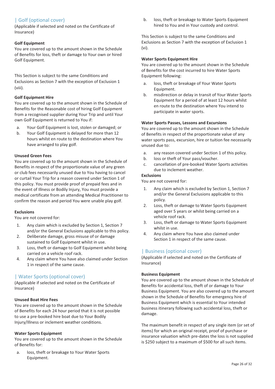### | Golf (optional cover)

(Applicable if selected and noted on the Certificate of Insurance)

### **Golf Equipment**

You are covered up to the amount shown in the Schedule of Benefits for loss, theft or damage to Your own or hired Golf Equipment.

This Section is subject to the same Conditions and Exclusions as Section 7 with the exception of Exclusion 1 (viii).

### **Golf Equipment Hire**

You are covered up to the amount shown in the Schedule of Benefits for the Reasonable cost of hiring Golf Equipment from a recognised supplier during Your Trip and until Your own Golf Equipment is returned to You if:

- a. Your Golf Equipment is lost, stolen or damaged; or
- b. Your Golf Equipment is delayed for more than 12 hours whilst en route to the destination where You have arranged to play golf.

### **Unused Green Fees**

You are covered up to the amount shown in the Schedule of Benefits in respect of the proportionate value of any green or club fees necessarily unused due to You having to cancel or curtail Your Trip for a reason covered under Section 1 of this policy. You must provide proof of prepaid fees and in the event of Illness or Bodily Injury, You must provide a medical certificate from an attending Medical Practitioner to confirm the reason and period You were unable play golf.

### **Exclusions**

You are not covered for:

- 1. Any claim which is excluded by Section 1, Section 7 and/or the General Exclusions applicable to this policy.
- 2. Deliberate damage, gross misuse of or damage sustained to Golf Equipment whilst in use.
- 3. Loss, theft or damage to Golf Equipment whilst being carried on a vehicle roof rack.
- 4. Any claim where You have also claimed under Section 1 in respect of the same cause.

### | Water Sports (optional cover)

(Applicable if selected and noted on the Certificate of Insurance)

### **Unused Boat Hire Fees**

You are covered up to the amount shown in the Schedule of Benefits for each 24 hour period that it is not possible to use a pre-booked hire boat due to Your Bodily Injury/Illness or inclement weather conditions.

### **Water Sports Equipment**

You are covered up to the amount shown in the Schedule of Benefits for:

a. loss, theft or breakage to Your Water Sports Equipment.

b. loss, theft or breakage to Water Sports Equipment hired to You and in Your custody and control.

This Section is subject to the same Conditions and Exclusions as Section 7 with the exception of Exclusion 1 (vi).

### **Water Sports Equipment Hire**

You are covered up to the amount shown in the Schedule of Benefits for the cost incurred to hire Water Sports Equipment following:

- a. loss, theft or breakage of Your Water Sports Equipment.
- b. misdirection or delay in transit of Your Water Sports Equipment for a period of at least 12 hours whilst en route to the destination where You intend to participate in water sports.

### **Water Sports Passes, Lessons and Excursions**

You are covered up to the amount shown in the Schedule of Benefits in respect of the proportionate value of any water sports pass, excursion, hire or tuition fee necessarily unused due to:

- a. any reason covered under Section 1 of this policy.
- b. loss or theft of Your pass/voucher.
- c. cancellation of pre-booked Water Sports activities due to inclement weather.

### **Exclusions**

You are not covered for:

- 1. Any claim which is excluded by Section 1, Section 7 and/or the General Exclusions applicable to this policy.
- 2. Loss, theft or damage to Water Sports Equipment aged over 5 years or whilst being carried on a vehicle roof rack.
- 3. Loss, theft or damage to Water Sports Equipment whilst in use.
- 4. Any claim where You have also claimed under Section 1 in respect of the same cause.

### | Business (optional cover)

(Applicable if selected and noted on the Certificate of Insurance)

### **Business Equipment**

You are covered up to the amount shown in the Schedule of Benefits for accidental loss, theft of or damage to Your Business Equipment. You are also covered up to the amount shown in the Schedule of Benefits for emergency hire of Business Equipment which is essential to Your intended business itinerary following such accidental loss, theft or damage.

The maximum benefit in respect of any single item (or set of items) for which an original receipt, proof of purchase or insurance valuation which pre-dates the loss is not supplied is \$250 subject to a maximum of \$500 for all such items.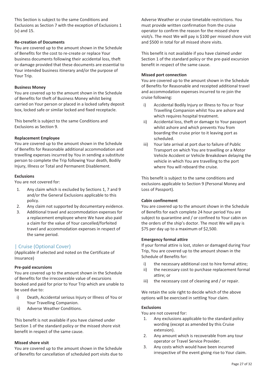This Section is subject to the same Conditions and Exclusions as Section 7 with the exception of Exclusions 1 (v) and 15.

### **Re-creation of Documents**

You are covered up to the amount shown in the Schedule of Benefits for the cost to re-create or replace Your business documents following their accidental loss, theft or damage provided that these documents are essential to Your intended business itinerary and/or the purpose of Your Trip.

### **Business Money**

You are covered up to the amount shown in the Schedule of Benefits for theft of Business Money whilst being carried on Your person or placed in a locked safety deposit box, locked safe or similar locked and fixed receptacle.

This benefit is subject to the same Conditions and Exclusions as Section 9.

### **Replacement Employee**

You are covered up to the amount shown in the Schedule of Benefits for Reasonable additional accommodation and travelling expenses incurred by You in sending a substitute person to complete the Trip following Your death, Bodily Injury, Illness or Total and Permanent Disablement.

### **Exclusions**

You are not covered for:

- 1. Any claim which is excluded by Sections 1, 7 and 9 and/or the General Exclusions applicable to this policy.
- 2. Any claim not supported by documentary evidence.
- 3. Additional travel and accommodation expenses for a replacement employee where We have also paid a claim for the value of Your cancelled/forfeited travel and accommodation expenses in respect of the same period.

### | Cruise (Optional Cover)

(Applicable if selected and noted on the Certificate of Insurance)

#### **Pre-paid excursions**

You are covered up to the amount shown in the Schedule of Benefits for the irrecoverable value of excursions booked and paid for prior to Your Trip which are unable to be used due to:

- i) Death, Accidental serious Injury or Illness of You or Your Travelling Companion.
- ii) Adverse Weather Conditions.

This benefit is not available if you have claimed under Section 1 of the standard policy or the missed shore visit benefit in respect of the same cause.

### **Missed shore visit**

You are covered up to the amount shown in the Schedule of Benefits for cancellation of scheduled port visits due to Adverse Weather or cruise timetable restrictions. You must provide written confirmation from the cruise operator to confirm the reason for the missed shore visit/s. The most We will pay is \$100 per missed shore visit and \$500 in total for all missed shore visits.

This benefit is not available if you have claimed under Section 1 of the standard policy or the pre-paid excursion benefit in respect of the same cause.

### **Missed port connection**

You are covered up to the amount shown in the Schedule of Benefits for Reasonable and receipted additional travel and accommodation expenses incurred to re-join the cruise following:

- i) Accidental Bodily Injury or Illness to You or Your Travelling Companion whilst You are ashore and which requires hospital treatment.
- ii) Accidental loss, theft or damage to Your passport whilst ashore and which prevents You from boarding the cruise prior to it leaving port as scheduled.
- iii) Your late arrival at port due to failure of Public Transport on which You are travelling or a Motor Vehicle Accident or Vehicle Breakdown delaying the vehicle in which You are travelling to the port where You will reboard the cruise.

This benefit is subject to the same conditions and exclusions applicable to Section 9 (Personal Money and Loss of Passport).

### **Cabin confinement**

You are covered up to the amount shown in the Schedule of Benefits for each complete 24 hour period You are subject to quarantine and / or confined to Your cabin on the orders of the ship's doctor. The most We will pay is \$75 per day up to a maximum of \$2,500.

### **Emergency formal attire**

If your formal attire is lost, stolen or damaged during Your Trip, You are covered up to the amount shown in the Schedule of Benefits for:

- i) the necessary additional cost to hire formal attire;
- ii) the necessary cost to purchase replacement formal attire; or
- iii) the necessary cost of cleaning and / or repair.

We retain the sole right to decide which of the above options will be exercised in settling Your claim.

### **Exclusions**

You are not covered for:

- 1. Any exclusions applicable to the standard policy wording (except as amended by this Cruise extension).
- 2. Any amount which is recoverable from any tour operator or Travel Service Provider.
- 3. Any costs which would have been incurred irrespective of the event giving rise to Your claim.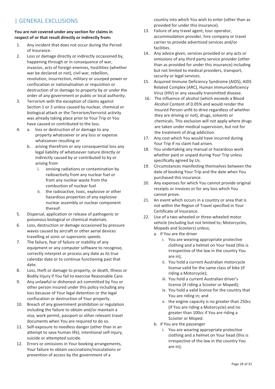## | GENERAL EXCLUSIONS

**You are not covered under any section for claims in respect of or that result directly or indirectly from:** 

- 1. Any incident that does not occur during the Period of Insurance.
- 2. Loss or damage directly or indirectly occasioned by, happening through or in consequence of war, invasion, acts of foreign enemies, hostilities (whether war be declared or not), civil war, rebellion, revolution, insurrection, military or usurped power or confiscation or nationalisation or requisition or destruction of or damage to property by or under the order of any government or public or local authority.
- 3. Terrorism with the exception of claims against Section 1 or 3 unless caused by nuclear, chemical or biological attack or the Terrorism/terrorist activity was already taking place prior to Your Trip or You have caused or contributed to the loss.
- 4. a. loss or destruction of or damage to any property whatsoever or any loss or expense whatsoever resulting or
	- b. arising therefrom or any consequential loss any legal liability of whatsoever nature directly or indirectly caused by or contributed to by or arising from
		- i. ionising radiations or contamination by radioactivity from any nuclear fuel or from any nuclear waste from the combustion of nuclear fuel
		- ii. the radioactive, toxic, explosive or other hazardous properties of any explosive nuclear assembly or nuclear component thereof.
- 5. Dispersal, application or release of pathogenic or poisonous biological or chemical materials.
- 6. Loss, destruction or damage occasioned by pressure waves caused by aircraft or other aerial devices travelling at sonic or supersonic speeds.
- 7. The failure, fear of failure or inability of any equipment or any computer software to recognise, correctly interpret or process any date as its true calendar date or to continue functioning past that date.
- 8. Loss, theft or damage to property, or death, Illness or Bodily Injury if You fail to exercise Reasonable Care.
- 9. Any unlawful or dishonest act committed by You or other person insured under this policy including any loss because of Your legal detention or the legal confiscation or destruction of Your property.
- 10. Breach of any government prohibition or regulation including the failure to obtain and/or maintain a visa, work permit, passport or other relevant travel documents when You are required to do so.
- 11. Self-exposure to needless danger (other than in an attempt to save human life), intentional self-injury, suicide or attempted suicide.
- 12. Errors or omissions in Your booking arrangements, Your failure to obtain vaccinations/inoculations or prevention of access by the government of a

country into which You wish to enter (other than as provided for under this insurance).

- 13. Failure of any travel agent, tour operator, accommodation provider, hire company or travel carrier to provide advertised services and/or facilities.
- 14. Any advice given, services provided or any acts or omissions of any third party service provider (other than as provided for under this insurance) including but not limited to medical providers, transport, security or legal services.
- 15. Acquired Immune Deficiency Syndrome (AIDS), AIDS Related Complex (ARC), Human Immunodeficiency Virus (HIV) or any sexually transmitted disease.
- 16. The influence of alcohol (which exceeds a Blood Alcohol Content of 0.05% and would render the Insured Person unfit to drive regardless of whether they are driving or not), drugs, solvents or chemicals. This exclusion will not apply where drugs are taken under medical supervision, but not for the treatment of drug addiction.
- 17. Any cost which You would have incurred during Your Trip if no claim had arisen.
- 18. You undertaking any manual or hazardous work whether paid or unpaid during Your Trip unless specifically agreed by Us.
- 19. Circumstances manifesting themselves between the date of booking Your Trip and the date when You purchased this insurance.
- 20. Any expenses for which You cannot provide original receipts or invoices or for any loss which You cannot prove.
- 21. An event which occurs in a country or area that is not within the Region of Travel specified in Your Certificate of Insurance.
- 22. Use of a two-wheeled or three-wheeled motor vehicle (including but not limited to; Motorcycles, Mopeds and Scooters) unless;
	- a. if You are the driver
		- i. You are wearing appropriate protective clothing and a helmet on Your head (this is irrespective of the law in the country You are in);
		- ii. You hold a current Australian motorcycle license valid for the same class of bike (if riding a Motorcycle);
		- iii. You hold a current Australian driver's license (if riding a Scooter or Moped);
		- iv. You hold a valid license for the country that You are riding in; and
		- v. the engine capacity is no greater than 250cc (if You are riding a Motorcycle) and no greater than 100cc if You are riding a Scooter or Moped.
	- b. if You are the passenger
		- i. You are wearing appropriate protective clothing and a helmet on Your head (this is irrespective of the law in the country You are in);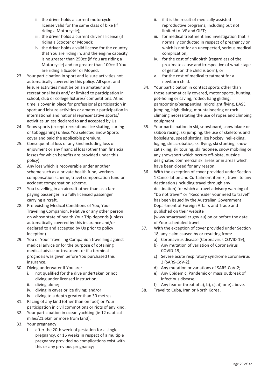- ii. the driver holds a current motorcycle license valid for the same class of bike (if riding a Motorcycle);
- iii. the driver holds a current driver's license (if riding a Scooter or Moped);
- iv. the driver holds a valid license for the country that You are riding in; and the engine capacity is no greater than 250cc (if You are riding a Motorcycle) and no greater than 100cc if You are riding a Scooter or Moped.
- 23. Your participation in sport and leisure activities not automatically covered by this policy. All sport and leisure activities must be on an amateur and recreational basis and/ or limited to participation in school, club or college fixtures/ competitions. At no time is cover in place for professional participation in sport and leisure activities or amateur participation in international and national representative sports/ activities unless declared to and accepted by Us.
- 24. Snow sports (except recreational ice skating, curling or tobogganing) unless You selected Snow Sports cover and paid the applicable premium.
- 25. Consequential loss of any kind including loss of enjoyment or any financial loss (other than financial losses for which benefits are provided under this policy).
- 26. Any loss which is recoverable under another scheme such as a private health fund, workers compensation scheme, travel compensation fund or accident compensation scheme.
- 27. You travelling in an aircraft other than as a fare paying passenger in a fully licensed passenger carrying aircraft.
- 28. Pre-existing Medical Conditions of You, Your Travelling Companion, Relative or any other person on whose state of health Your Trip depends (unless automatically covered by this insurance and/or declared to and accepted by Us prior to policy inception).
- 29. You or Your Travelling Companion travelling against medical advice or for the purpose of obtaining medical advice or treatment or if a terminal prognosis was given before You purchased this insurance.
- 30. Diving underwater if You are:
	- i. not qualified for the dive undertaken or not diving under licensed instruction;
	- ii. diving alone;
	- iv. diving in caves or ice diving; and/or
	- iv. diving to a depth greater than 30 metres.
- 31. Racing of any kind (other than on foot) or Your participation in civil commotions or riots of any kind.
- 32. Your participation in ocean yachting (ie 12 nautical miles/21.6km or more from land).
- 33. Your pregnancy:
	- i. after the 20th week of gestation for a single pregnancy, or 16 weeks in respect of a multiple pregnancy provided no complications exist with this or any previous pregnancy;
- ii. if it is the result of medically assisted reproductive programs, including but not limited to IVF and GIFT;
- iii. for medical treatment and investigation that is normally conducted in respect of pregnancy or which is not for an unexpected, serious medical complication;
- iv. for the cost of childbirth (regardless of the proximate cause and irrespective of what stage of gestation the child is born); or
- v. for the cost of medical treatment for a newborn child.
- 34. Your participation in contact sports other than those automatically covered, motor sports, hunting, pot-holing or caving, rodeo, hang gliding, paraponting/parapenting, microlight flying, BASE jumping, high diving, mountaineering or rock climbing necessitating the use of ropes and climbing equipment.
- 35. Your participation in ski, snowboard, snow blade or skibob racing, ski jumping, the use of skeletons and bobsleighs, speed skating, ice hockey, heli-skiing, luging, ski acrobatics, ski flying, ski stunting, snow cat skiing, ski touring, ski radonee, snow mobiling or any snowsport which occurs off-piste, outside designated commercial ski areas or in areas which have been closed for any reason.
- 36. With the exception of cover provided under Section 1 Cancellation and Curtailment item xi, travel to any destination (including travel through any destination) for which a travel advisory warning of "Do not travel" or "Reconsider your need to travel" has been issued by the Australian Government Department of Foreign Affairs and Trade and published on their website (www.smartraveller.gov.au) on or before the date of Your scheduled travel.
- 37. With the exception of cover provided under Section 18, any claim caused by or resulting from:
	- a) Coronavirus disease (Coronavirus COVID-19);
	- b) Any mutation of variation of Coronavirus COVID-19;
	- c) Severe acute respiratory syndrome coronavirus 2 (SARS-CoV-2);
	- d) Any mutation or variations of SARS-CoV-2;
	- e) Any Epidemic, Pandemic or mass outbreak of infectious disease;
	- f) Any fear or threat of a), b), c), d) or e) above.
- 38. Travel to Cuba, Iran or North Korea.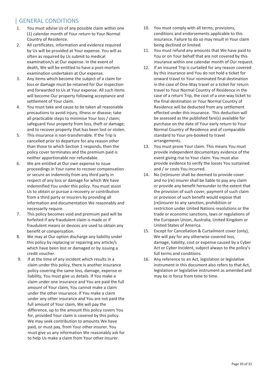### | GENERAL CONDITIONS

- 1. You must advise Us of any possible claim within one (1) calendar month of Your return to Your Normal Country of Residence.
- 2. All certificates, information and evidence required by Us will be provided at Your expense. You will as often as required by Us submit to medical examination/s at Our expense. In the event of death, We will be entitled to have a post-mortem examination undertaken at Our expense.
- 3. Any items which become the subject of a claim for loss or damage must be retained for Our inspection and forwarded to Us at Your expense. All such items will become Our property following acceptance and settlement of Your claim.
- 4. You must take and cause to be taken all reasonable precautions to avoid injury, illness or disease; take all practicable steps to minimise Your loss / claim; safeguard Your property from loss, theft or damage; and to recover property that has been lost or stolen.
- 5. This insurance is non-transferrable. If the Trip is cancelled prior to departure for any reason other than those to which Section 1 responds, then the policy cover terminates and the premium paid is neither apportionable nor refundable.
- 6. We are entitled at Our own expense to issue proceedings in Your name to recover compensation or secure an indemnity from any third party in respect of any loss or damage for which We have indemnified You under this policy. You must assist Us to obtain or pursue a recovery or contribution from a third party or insurers by providing all information and documentation We reasonably and necessarily require.
- 7. This policy becomes void and premium paid will be forfeited if any fraudulent claim is made or if fraudulent means or devices are used to obtain any benefit or compensation.
- 8. We may at Our option discharge any liability under this policy by replacing or repairing any article/s which have been lost or damaged or by issuing a credit voucher.
- 9. If at the time of any incident which results in a claim under this policy, there is another insurance policy covering the same loss, damage, expense or liability, You must give us details. If You make a claim under one insurance and You are paid the full amount of Your claim, You cannot make a claim under the other insurance. If You make a claim under any other insurance and You are not paid the full amount of Your claim, We will pay the difference, up to the amount this policy covers You for, provided Your claim is covered by this policy. We may seek contribution to amounts We have paid, or must pay, from Your other insurer. You must give us any information We reasonably ask for to help Us make a claim from Your other insurer.
- 10. You must comply with all terms, provisions, conditions and endorsements applicable to this insurance. Failure to do so may result in Your claim being declined or limited.
- 11. You must refund any amounts that We have paid to You or on Your behalf that are not covered by this insurance within one calendar month of Our request.
- 12. If an insured Trip is curtailed for any reason covered by this insurance and You do not hold a ticket for onward travel to Your nominated final destination in the case of One-Way travel or a ticket for return travel to Your Normal Country of Residence in the case of a return Trip, the cost of a one-way ticket to the final destination or Your Normal Country of Residence will be deducted from any settlement effected under this insurance. This deduction will be assessed as the published fare(s) available for purchase on the date of Your early return to Your Normal Country of Residence and of comparable standard to Your pre-booked to travel arrangements.
- 13. You must prove Your claim. This means You must provide independent documentary evidence of the event giving rise to Your claim. You must also provide evidence to verify the losses You sustained and / or costs You incurred.
- 14. No (re)insurer shall be deemed to provide cover and no (re) insurer shall be liable to pay any claim or provide any benefit hereunder to the extent that the provision of such cover, payment of such claim or provision of such benefit would expose that (re)insurer to any sanction, prohibition or restriction under United Nations resolutions or the trade or economic sanctions, laws or regulations of the European Union, Australia, United Kingdom or United States of America.
- 15. Except for Cancellation & Curtailment cover (only), We will pay for any otherwise covered loss, damage, liability, cost or expense caused by a Cyber Act or Cyber Incident, subject always to the policy's full terms and conditions.
- 16. Any reference to an Act, legislation or legislative instrument in this document also refers to that Act, legislation or legislative instrument as amended and may be in force from time to time.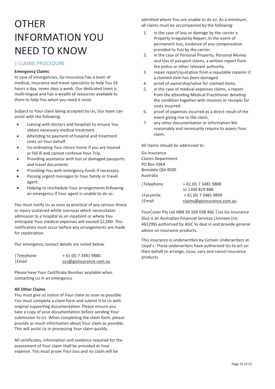# **OTHER** INFORMATION YOU NEED TO KNOW

### | CLAIMS PROCEDURE

### **Emergency Claims**

In case of emergencies, Go Insurance has a team of medical, insurance and travel specialists to help You 24 hours a day, seven days a week. Our dedicated team is multi-lingual and has a wealth of resources available to them to help You when you need it most.

Subject to Your claim being accepted by Us, Our team can assist with the following:

- - Liaising with doctors and hospitals to ensure You obtain necessary medical treatment.
- - Attending to payment of hospital and treatment costs on Your behalf.
- - Co-ordinating Your return home if you are injured or fall ill and cannot continue Your Trip.
- - Providing assistance with lost or damaged passports and travel documents.
- -Providing You with emergency funds if necessary.
- - Passing urgent messages to Your family or travel agent.
- - Helping to reschedule Your arrangements following an emergency if Your agent is unable to do so.

You must notify Us as soon as practical of any serious illness or injury sustained whilst overseas which necessitates admission to a hospital as an inpatient or where You anticipate Your medical expenses will exceed \$2,000. This notification must occur before any arrangements are made for repatriation.

Our emergency contact details are noted below.

| Telephone | + 61 (0) 7 3481 9880   |
|-----------|------------------------|
| Email     | sos@goinsurance.com.au |

Please have Your Certificate Number available when contacting Us in an emergency.

### **All Other Claims**

You must give us notice of Your claim as soon as possible. You must complete a claim form and submit it to Us with original supporting documentation. Please ensure you take a copy of your documentation before sending Your submission to Us. When completing the claim form, please provide as much information about Your claim as possible. This will assist Us in processing Your claim quickly.

All certificates, information and evidence required for the assessment of Your claim shall be provided at Your expense. You must prove Your loss and no claim will be

admitted where You are unable to do so. As a minimum, all claims must be accompanied by the following:

- 1. in the case of loss or damage by the carrier a Property Irregularity Report. In the event of permanent loss, evidence of any compensation provided to You by the carrier.
- 2. in the case of Personal Property, Personal Money and loss of passport claims, a written report from the police or other relevant authority.
- 3. repair report/quotation from a reputable repairer if a claimed item has been damaged.
- 4. proof of ownership/value for claimed items.
- 5. in the case of medical expenses claims, a report from the attending Medical Practitioner detailing the condition together with invoices or receipts for costs incurred.
- 6. proof of expenses incurred as a direct result of the event giving rise to the claim.
- 7. any other documentation or information We reasonably and necessarily require to assess Your claim.

All claims should be addressed to:

Go Insurance Claims Department PO Box 5964 Brendale Qld 4500 Australia

| Telephone | + 61 (0) 7 3481 9888      |
|-----------|---------------------------|
|           | or 1300 819 888           |
| Facsimile | + 61 (0) 7 3481 9899      |
| Email     | claims@goinsurance.com.au |

YourCover Pty Ltd ABN 35 169 038 466 T/as Go Insurance (Go) is an Australian Financial Services Licensee (no. 461299) authorised by ASIC to deal in and provide general advice on insurance products.

This insurance is underwritten by Certain Underwriters at Lloyd's. These underwriters have authorised Go to act on their behalf to arrange, issue, vary and cancel insurance products.